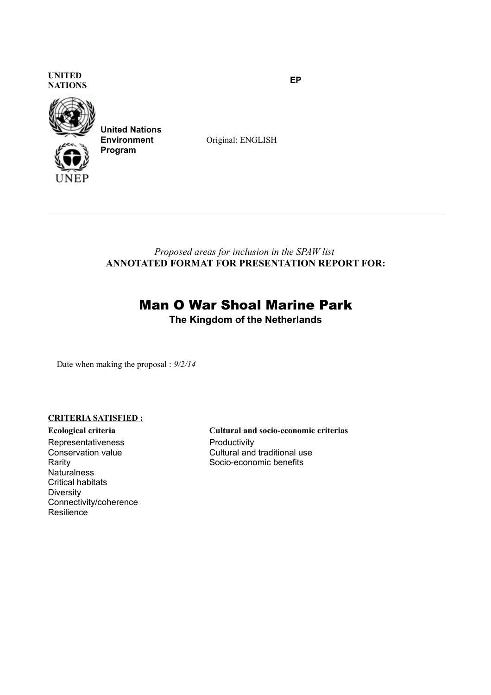**UNITED NATIONS EP**



**United Nations Environment Program**

Original: ENGLISH

*Proposed areas for inclusion in the SPAW list* **ANNOTATED FORMAT FOR PRESENTATION REPORT FOR:**

# Man O War Shoal Marine Park

**The Kingdom of the Netherlands**

Date when making the proposal : *9/2/14*

## **CRITERIA SATISFIED :**

Representativeness Conservation value Rarity Naturalness Critical habitats **Diversity** Connectivity/coherence Resilience

**Ecological criteria Cultural and socio-economic criterias Productivity** Cultural and traditional use Socio-economic benefits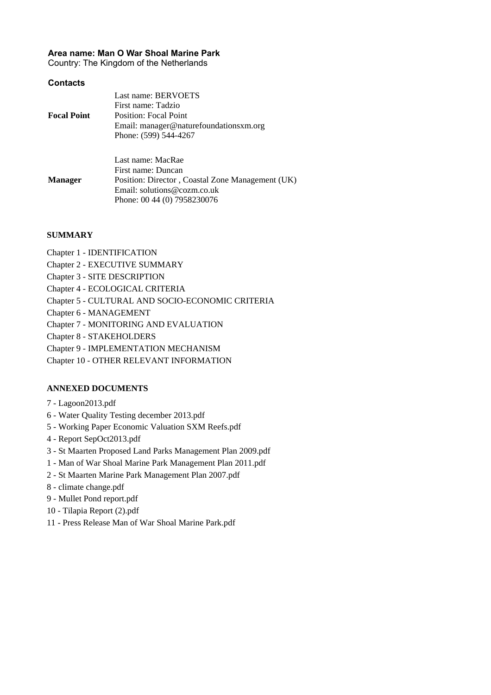#### **Area name: Man O War Shoal Marine Park**

Country: The Kingdom of the Netherlands

#### **Contacts**

| <b>Focal Point</b> | Last name: BERVOETS<br>First name: Tadzio<br>Position: Focal Point<br>Email: manager@naturefoundationsxm.org<br>Phone: (599) 544-4267                     |
|--------------------|-----------------------------------------------------------------------------------------------------------------------------------------------------------|
| <b>Manager</b>     | Last name: MacRae<br>First name: Duncan<br>Position: Director, Coastal Zone Management (UK)<br>Email: solutions@cozm.co.uk<br>Phone: 00 44 (0) 7958230076 |

#### **SUMMARY**

- Chapter 1 IDENTIFICATION
- Chapter 2 EXECUTIVE SUMMARY
- Chapter 3 SITE DESCRIPTION
- Chapter 4 ECOLOGICAL CRITERIA
- Chapter 5 CULTURAL AND SOCIO-ECONOMIC CRITERIA
- Chapter 6 MANAGEMENT
- Chapter 7 MONITORING AND EVALUATION
- Chapter 8 STAKEHOLDERS
- Chapter 9 IMPLEMENTATION MECHANISM
- Chapter 10 OTHER RELEVANT INFORMATION

#### **ANNEXED DOCUMENTS**

- 7 Lagoon2013.pdf
- 6 Water Quality Testing december 2013.pdf
- 5 Working Paper Economic Valuation SXM Reefs.pdf
- 4 Report SepOct2013.pdf
- 3 St Maarten Proposed Land Parks Management Plan 2009.pdf
- 1 Man of War Shoal Marine Park Management Plan 2011.pdf
- 2 St Maarten Marine Park Management Plan 2007.pdf
- 8 climate change.pdf
- 9 Mullet Pond report.pdf
- 10 Tilapia Report (2).pdf
- 11 Press Release Man of War Shoal Marine Park.pdf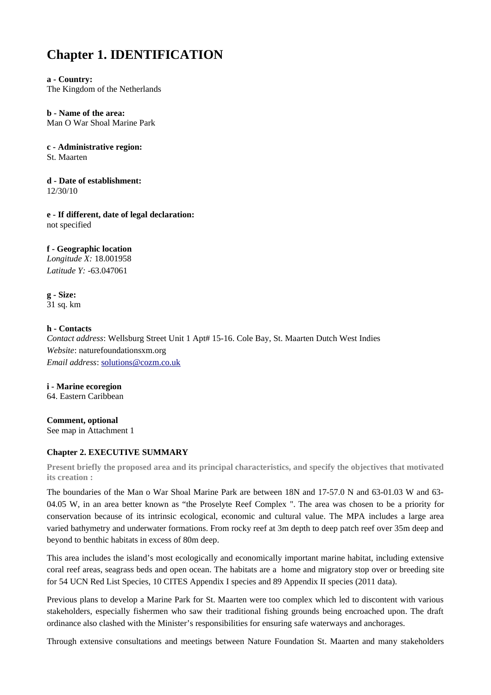# **Chapter 1. IDENTIFICATION**

**a - Country:** The Kingdom of the Netherlands

**b - Name of the area:** Man O War Shoal Marine Park

**c - Administrative region:**

St. Maarten

**d - Date of establishment:** 12/30/10

**e - If different, date of legal declaration:** not specified

## **f - Geographic location**

*Longitude X:* 18.001958 *Latitude Y:* -63.047061

**g - Size:** 31 sq. km

### **h - Contacts**

*Contact address*: Wellsburg Street Unit 1 Apt# 15-16. Cole Bay, St. Maarten Dutch West Indies *Website*: naturefoundationsxm.org *Email address*: [solutions@cozm.co.uk](mailto:solutions@cozm.co.uk)

**i - Marine ecoregion** 64. Eastern Caribbean

**Comment, optional** See map in Attachment 1

## **Chapter 2. EXECUTIVE SUMMARY**

**Present briefly the proposed area and its principal characteristics, and specify the objectives that motivated its creation :**

The boundaries of the Man o War Shoal Marine Park are between 18N and 17-57.0 N and 63-01.03 W and 63- 04.05 W, in an area better known as "the Proselyte Reef Complex ". The area was chosen to be a priority for conservation because of its intrinsic ecological, economic and cultural value. The MPA includes a large area varied bathymetry and underwater formations. From rocky reef at 3m depth to deep patch reef over 35m deep and beyond to benthic habitats in excess of 80m deep.

This area includes the island's most ecologically and economically important marine habitat, including extensive coral reef areas, seagrass beds and open ocean. The habitats are a home and migratory stop over or breeding site for 54 UCN Red List Species, 10 CITES Appendix I species and 89 Appendix II species (2011 data).

Previous plans to develop a Marine Park for St. Maarten were too complex which led to discontent with various stakeholders, especially fishermen who saw their traditional fishing grounds being encroached upon. The draft ordinance also clashed with the Minister's responsibilities for ensuring safe waterways and anchorages.

Through extensive consultations and meetings between Nature Foundation St. Maarten and many stakeholders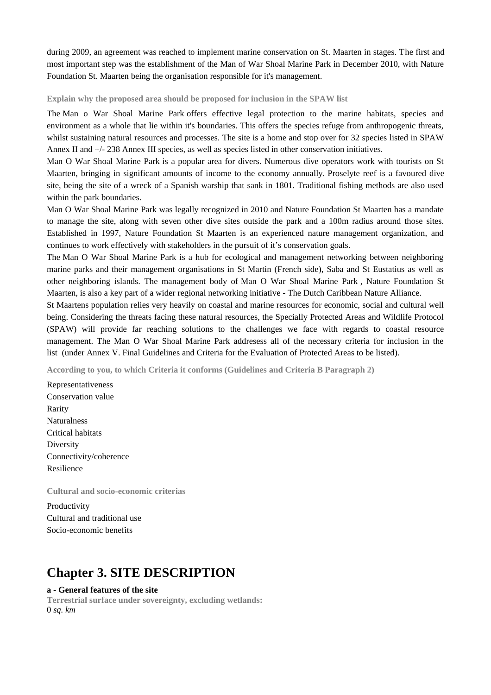during 2009, an agreement was reached to implement marine conservation on St. Maarten in stages. The first and most important step was the establishment of the Man of War Shoal Marine Park in December 2010, with Nature Foundation St. Maarten being the organisation responsible for it's management.

**Explain why the proposed area should be proposed for inclusion in the SPAW list**

The Man o War Shoal Marine Park offers effective legal protection to the marine habitats, species and environment as a whole that lie within it's boundaries. This offers the species refuge from anthropogenic threats, whilst sustaining natural resources and processes. The site is a home and stop over for 32 species listed in SPAW Annex II and +/- 238 Annex III species, as well as species listed in other conservation initiatives.

Man O War Shoal Marine Park is a popular area for divers. Numerous dive operators work with tourists on St Maarten, bringing in significant amounts of income to the economy annually. Proselyte reef is a favoured dive site, being the site of a wreck of a Spanish warship that sank in 1801. Traditional fishing methods are also used within the park boundaries.

Man O War Shoal Marine Park was legally recognized in 2010 and Nature Foundation St Maarten has a mandate to manage the site, along with seven other dive sites outside the park and a 100m radius around those sites. Established in 1997, Nature Foundation St Maarten is an experienced nature management organization, and continues to work effectively with stakeholders in the pursuit of it's conservation goals.

The Man O War Shoal Marine Park is a hub for ecological and management networking between neighboring marine parks and their management organisations in St Martin (French side), Saba and St Eustatius as well as other neighboring islands. The management body of Man O War Shoal Marine Park , Nature Foundation St Maarten, is also a key part of a wider regional networking initiative - The Dutch Caribbean Nature Alliance.

St Maartens population relies very heavily on coastal and marine resources for economic, social and cultural well being. Considering the threats facing these natural resources, the Specially Protected Areas and Wildlife Protocol (SPAW) will provide far reaching solutions to the challenges we face with regards to coastal resource management. The Man O War Shoal Marine Park addresess all of the necessary criteria for inclusion in the list (under Annex V. Final Guidelines and Criteria for the Evaluation of Protected Areas to be listed).

**According to you, to which Criteria it conforms (Guidelines and Criteria B Paragraph 2)**

Representativeness Conservation value Rarity Naturalness Critical habitats **Diversity** Connectivity/coherence Resilience

**Cultural and socio-economic criterias**

Productivity Cultural and traditional use Socio-economic benefits

## **Chapter 3. SITE DESCRIPTION**

#### **a - General features of the site**

**Terrestrial surface under sovereignty, excluding wetlands:**  0 *sq. km*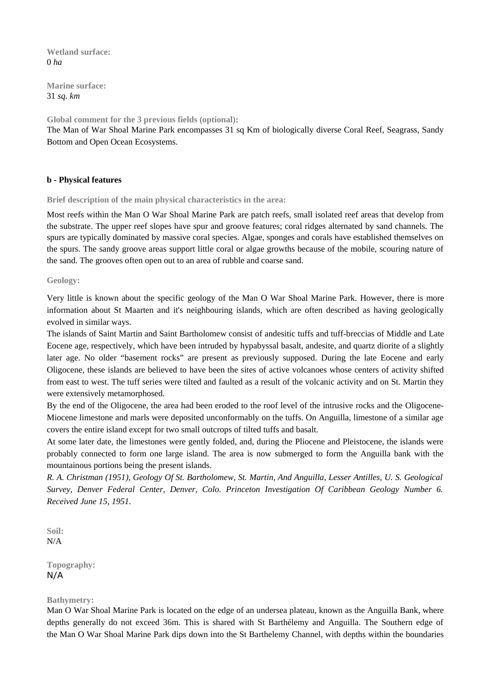**Wetland surface:**  0 *ha*

**Marine surface:**  31 *sq. km*

**Global comment for the 3 previous fields (optional):** 

The Man of War Shoal Marine Park encompasses 31 sq Km of biologically diverse Coral Reef, Seagrass, Sandy Bottom and Open Ocean Ecosystems.

### **b - Physical features**

**Brief description of the main physical characteristics in the area:** 

Most reefs within the Man O War Shoal Marine Park are patch reefs, small isolated reef areas that develop from the substrate. The upper reef slopes have spur and groove features; coral ridges alternated by sand channels. The spurs are typically dominated by massive coral species. Algae, sponges and corals have established themselves on the spurs. The sandy groove areas support little coral or algae growths because of the mobile, scouring nature of the sand. The grooves often open out to an area of rubble and coarse sand.

#### **Geology:**

Very little is known about the specific geology of the Man O War Shoal Marine Park. However, there is more information about St Maarten and it's neighbouring islands, which are often described as having geologically evolved in similar ways.

The islands of Saint Martin and Saint Bartholomew consist of andesitic tuffs and tuff-breccias of Middle and Late Eocene age, respectively, which have been intruded by hypabyssal basalt, andesite, and quartz diorite of a slightly later age. No older "basement rocks" are present as previously supposed. During the late Eocene and early Oligocene, these islands are believed to have been the sites of active volcanoes whose centers of activity shifted from east to west. The tuff series were tilted and faulted as a result of the volcanic activity and on St. Martin they were extensively metamorphosed.

By the end of the Oligocene, the area had been eroded to the roof level of the intrusive rocks and the Oligocene-Miocene limestone and marls were deposited unconformably on the tuffs. On Anguilla, limestone of a similar age covers the entire island except for two small outcrops of tilted tuffs and basalt.

At some later date, the limestones were gently folded, and, during the Pliocene and Pleistocene, the islands were probably connected to form one large island. The area is now submerged to form the Anguilla bank with the mountainous portions being the present islands.

*R. A. Christman (1951), Geology Of St. Bartholomew, St. Martin, And Anguilla, Lesser Antilles, U. S. Geological Survey, Denver Federal Center, Denver, Colo. Princeton Investigation Of Caribbean Geology Number 6. Received June 15, 1951.*

**Soil:**  N/A

**Topography:**  N/A

#### **Bathymetry:**

Man O War Shoal Marine Park is located on the edge of an undersea plateau, known as the Anguilla Bank, where depths generally do not exceed 36m. This is shared with St Barthélemy and Anguilla. The Southern edge of the Man O War Shoal Marine Park dips down into the St Barthelemy Channel, with depths within the boundaries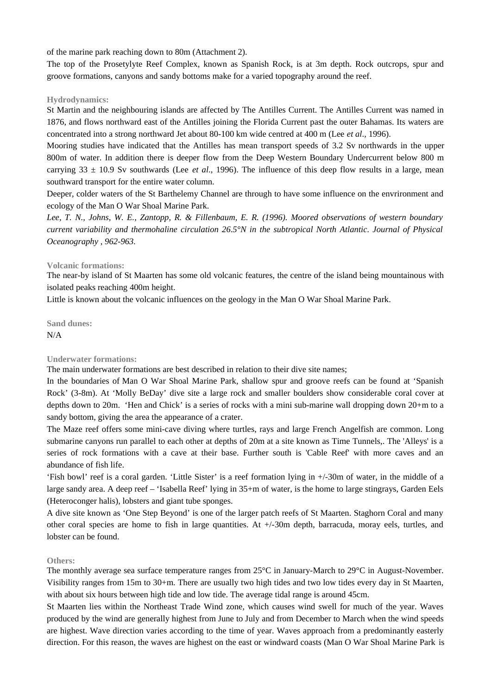of the marine park reaching down to 80m (Attachment 2).

The top of the Prosetylyte Reef Complex, known as Spanish Rock, is at 3m depth. Rock outcrops, spur and groove formations, canyons and sandy bottoms make for a varied topography around the reef.

#### **Hydrodynamics:**

St Martin and the neighbouring islands are affected by The Antilles Current. The Antilles Current was named in 1876, and flows northward east of the Antilles joining the Florida Current past the outer Bahamas. Its waters are concentrated into a strong northward Jet about 80-100 km wide centred at 400 m (Lee *et al*., 1996).

Mooring studies have indicated that the Antilles has mean transport speeds of 3.2 Sv northwards in the upper 800m of water. In addition there is deeper flow from the Deep Western Boundary Undercurrent below 800 m carrying 33 ± 10.9 Sv southwards (Lee *et al*., 1996). The influence of this deep flow results in a large, mean southward transport for the entire water column.

Deeper, colder waters of the St Barthelemy Channel are through to have some influence on the envrironment and ecology of the Man O War Shoal Marine Park.

*Lee, T. N., Johns, W. E., Zantopp, R. & Fillenbaum, E. R. (1996). Moored observations of western boundary current variability and thermohaline circulation 26.5°N in the subtropical North Atlantic. Journal of Physical Oceanography , 962-963.*

#### **Volcanic formations:**

The near-by island of St Maarten has some old volcanic features, the centre of the island being mountainous with isolated peaks reaching 400m height.

Little is known about the volcanic influences on the geology in the Man O War Shoal Marine Park.

**Sand dunes:**  N/A

#### **Underwater formations:**

The main underwater formations are best described in relation to their dive site names;

In the boundaries of Man O War Shoal Marine Park, shallow spur and groove reefs can be found at 'Spanish Rock' (3-8m). At 'Molly BeDay' dive site a large rock and smaller boulders show considerable coral cover at depths down to 20m. 'Hen and Chick' is a series of rocks with a mini sub-marine wall dropping down 20+m to a sandy bottom, giving the area the appearance of a crater.

The Maze reef offers some mini-cave diving where turtles, rays and large French Angelfish are common. Long submarine canyons run parallel to each other at depths of 20m at a site known as Time Tunnels,. The 'Alleys' is a series of rock formations with a cave at their base. Further south is 'Cable Reef' with more caves and an abundance of fish life.

'Fish bowl' reef is a coral garden. 'Little Sister' is a reef formation lying in +/-30m of water, in the middle of a large sandy area. A deep reef – 'Isabella Reef' lying in 35+m of water, is the home to large stingrays, Garden Eels (Heteroconger halis), lobsters and giant tube sponges.

A dive site known as 'One Step Beyond' is one of the larger patch reefs of St Maarten. Staghorn Coral and many other coral species are home to fish in large quantities. At +/-30m depth, barracuda, moray eels, turtles, and lobster can be found.

#### **Others:**

The monthly average sea surface temperature ranges from 25°C in January-March to 29°C in August-November. Visibility ranges from 15m to 30+m. There are usually two high tides and two low tides every day in St Maarten, with about six hours between high tide and low tide. The average tidal range is around 45cm.

St Maarten lies within the Northeast Trade Wind zone, which causes wind swell for much of the year. Waves produced by the wind are generally highest from June to July and from December to March when the wind speeds are highest. Wave direction varies according to the time of year. Waves approach from a predominantly easterly direction. For this reason, the waves are highest on the east or windward coasts (Man O War Shoal Marine Park is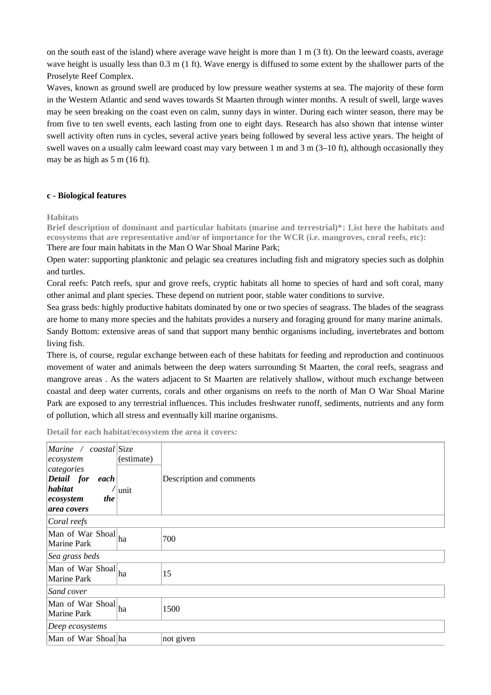on the south east of the island) where average wave height is more than  $1 \text{ m}$  (3 ft). On the leeward coasts, average wave height is usually less than 0.3 m (1 ft). Wave energy is diffused to some extent by the shallower parts of the Proselyte Reef Complex.

Waves, known as ground swell are produced by low pressure weather systems at sea. The majority of these form in the Western Atlantic and send waves towards St Maarten through winter months. A result of swell, large waves may be seen breaking on the coast even on calm, sunny days in winter. During each winter season, there may be from five to ten swell events, each lasting from one to eight days. Research has also shown that intense winter swell activity often runs in cycles, several active years being followed by several less active years. The height of swell waves on a usually calm leeward coast may vary between 1 m and 3 m (3–10 ft), although occasionally they may be as high as 5 m (16 ft).

#### **c - Biological features**

#### **Habitats**

**Brief description of dominant and particular habitats (marine and terrestrial)\*: List here the habitats and ecosystems that are representative and/or of importance for the WCR (i.e. mangroves, coral reefs, etc):**  There are four main habitats in the Man O War Shoal Marine Park;

Open water: supporting planktonic and pelagic sea creatures including fish and migratory species such as dolphin and turtles.

Coral reefs: Patch reefs, spur and grove reefs, cryptic habitats all home to species of hard and soft coral, many other animal and plant species. These depend on nutrient poor, stable water conditions to survive.

Sea grass beds: highly productive habitats dominated by one or two species of seagrass. The blades of the seagrass are home to many more species and the habitats provides a nursery and foraging ground for many marine animals. Sandy Bottom: extensive areas of sand that support many benthic organisms including, invertebrates and bottom living fish.

There is, of course, regular exchange between each of these habitats for feeding and reproduction and continuous movement of water and animals between the deep waters surrounding St Maarten, the coral reefs, seagrass and mangrove areas . As the waters adjacent to St Maarten are relatively shallow, without much exchange between coastal and deep water currents, corals and other organisms on reefs to the north of Man O War Shoal Marine Park are exposed to any terrestrial influences. This includes freshwater runoff, sediments, nutrients and any form of pollution, which all stress and eventually kill marine organisms.

| Marine / coastal Size<br> ecosystem <br>categories<br>Detail for each<br>habitat<br>the<br>ecosystem<br>area covers | (estimate)<br><b>unit</b> | Description and comments |
|---------------------------------------------------------------------------------------------------------------------|---------------------------|--------------------------|
| Coral reefs                                                                                                         |                           |                          |
| Man of War Shoal ha<br>Marine Park                                                                                  |                           | 700                      |
| Sea grass beds                                                                                                      |                           |                          |
| Man of War Shoal ha<br>Marine Park                                                                                  |                           | 15                       |
| Sand cover                                                                                                          |                           |                          |
| Man of War Shoal ha<br>Marine Park                                                                                  |                           | 1500                     |
| $\vert$ Deep ecosystems                                                                                             |                           |                          |
| Man of War Shoal ha                                                                                                 |                           | not given                |

**Detail for each habitat/ecosystem the area it covers:**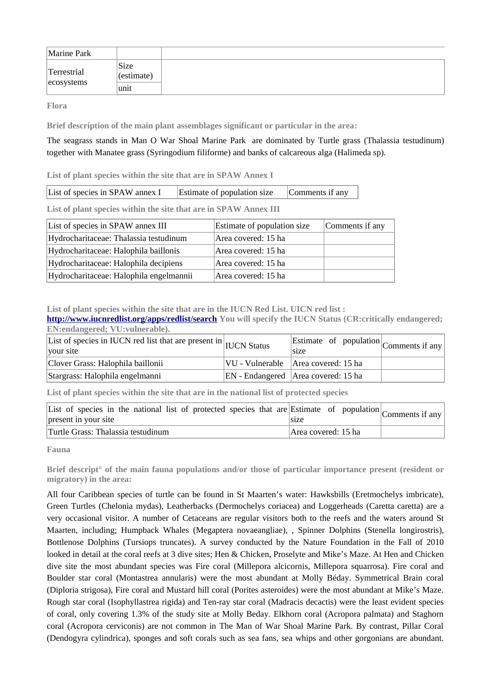| Marine Park               |                    |  |
|---------------------------|--------------------|--|
| Terrestrial<br>ecosystems | Size<br>(estimate) |  |
|                           | unit               |  |

**Flora**

**Brief description of the main plant assemblages significant or particular in the area:** 

The seagrass stands in Man O War Shoal Marine Park are dominated by Turtle grass (Thalassia testudinum) together with Manatee grass (Syringodium filiforme) and banks of calcareous alga (Halimeda sp).

**List of plant species within the site that are in SPAW Annex I**

**List of plant species within the site that are in SPAW Annex III**

| List of species in SPAW annex III       | Estimate of population size | Comments if any |
|-----------------------------------------|-----------------------------|-----------------|
| Hydrocharitaceae: Thalassia testudinum  | Area covered: 15 ha         |                 |
| Hydrocharitaceae: Halophila baillonis   | Area covered: 15 ha         |                 |
| Hydrocharitaceae: Halophila decipiens   | Area covered: 15 ha         |                 |
| Hydrocharitaceae: Halophila engelmannii | Area covered: 15 ha         |                 |

**List of plant species within the site that are in the IUCN Red List. UICN red list :** 

**<http://www.iucnredlist.org/apps/redlist/search>You will specify the IUCN Status (CR:critically endangered; EN:endangered; VU:vulnerable).**

| List of species in IUCN red list that are present in IUCN Status<br>vour site | Estimate of population $\vert$ Comments if any<br>size |  |
|-------------------------------------------------------------------------------|--------------------------------------------------------|--|
| Clover Grass: Halophila baillonii                                             | $ VU - V$ ulnerable $ Area$ covered: 15 ha             |  |
| Stargrass: Halophila engelmanni                                               | EN - Endangered   Area covered: 15 ha                  |  |

**List of plant species within the site that are in the national list of protected species**

| List of species in the national list of protected species that are Estimate of population $\vert$ Comments if any<br>present in your site | size                |
|-------------------------------------------------------------------------------------------------------------------------------------------|---------------------|
| Turtle Grass: Thalassia testudinum                                                                                                        | Area covered: 15 ha |

**Fauna**

**Brief descript° of the main fauna populations and/or those of particular importance present (resident or migratory) in the area:** 

All four Caribbean species of turtle can be found in St Maarten's water: Hawksbills (Eretmochelys imbricate), Green Turtles (Chelonia mydas), Leatherbacks (Dermochelys coriacea) and Loggerheads (Caretta caretta) are a very occasional visitor. A number of Cetaceans are regular visitors both to the reefs and the waters around St Maarten, including; Humpback Whales (Megaptera novaeangliae), , Spinner Dolphins (Stenella longirostris), Bottlenose Dolphins (Tursiops truncates). A survey conducted by the Nature Foundation in the Fall of 2010 looked in detail at the coral reefs at 3 dive sites; Hen & Chicken, Proselyte and Mike's Maze. At Hen and Chicken dive site the most abundant species was Fire coral (Millepora alcicornis, Millepora squarrosa). Fire coral and Boulder star coral (Montastrea annularis) were the most abundant at Molly Béday. Symmetrical Brain coral (Diploria strigosa), Fire coral and Mustard hill coral (Porites asteroides) were the most abundant at Mike's Maze. Rough star coral (Isophyllastrea rigida) and Ten-ray star coral (Madracis decactis) were the least evident species of coral, only covering 1.3% of the study site at Molly Beday. Elkhorn coral (Acropora palmata) and Staghorn coral (Acropora cerviconis) are not common in The Man of War Shoal Marine Park. By contrast, Pillar Coral (Dendogyra cylindrica), sponges and soft corals such as sea fans, sea whips and other gorgonians are abundant.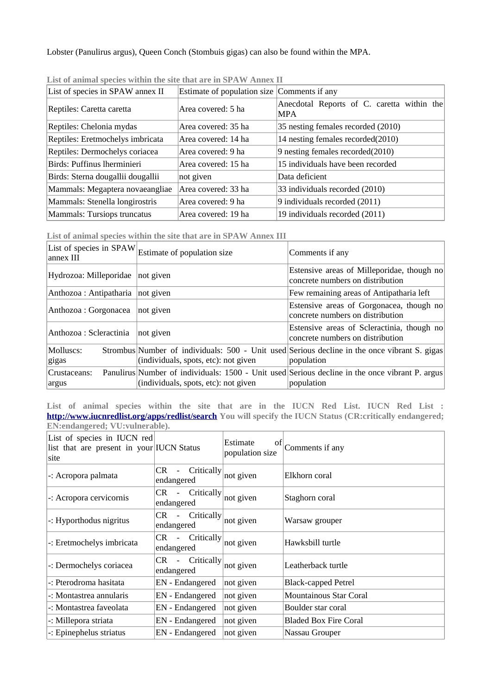Lobster (Panulirus argus), Queen Conch (Stombuis gigas) can also be found within the MPA.

| List of species in SPAW annex II  | Estimate of population size Comments if any |                                                    |
|-----------------------------------|---------------------------------------------|----------------------------------------------------|
| Reptiles: Caretta caretta         | Area covered: 5 ha                          | Anecdotal Reports of C. caretta within the<br> MPA |
| Reptiles: Chelonia mydas          | Area covered: 35 ha                         | 35 nesting females recorded (2010)                 |
| Reptiles: Eretmochelys imbricata  | Area covered: 14 ha                         | 14 nesting females recorded(2010)                  |
| Reptiles: Dermochelys coriacea    | Area covered: 9 ha                          | 9 nesting females recorded(2010)                   |
| Birds: Puffinus lherminieri       | Area covered: 15 ha                         | 15 individuals have been recorded                  |
| Birds: Sterna dougallii dougallii | not given                                   | Data deficient                                     |
| Mammals: Megaptera novaeangliae   | Area covered: 33 ha                         | 33 individuals recorded (2010)                     |
| Mammals: Stenella longirostris    | Area covered: 9 ha                          | 9 individuals recorded (2011)                      |
| Mammals: Tursiops truncatus       | Area covered: 19 ha                         | 19 individuals recorded (2011)                     |

**List of animal species within the site that are in SPAW Annex II**

**List of animal species within the site that are in SPAW Annex III**

|                                  | List of species in $\operatorname{SPAW}\nolimits_{\mathsf E\mathsf{stimate}}$ of population size | Comments if any                                                                                              |
|----------------------------------|--------------------------------------------------------------------------------------------------|--------------------------------------------------------------------------------------------------------------|
| Hydrozoa: Milleporidae not given |                                                                                                  | Estensive areas of Milleporidae, though no<br>concrete numbers on distribution                               |
| Anthozoa : Antipatharia          | not given                                                                                        | Few remaining areas of Antipatharia left                                                                     |
| Anthozoa : Gorgonacea            | not given                                                                                        | Estensive areas of Gorgonacea, though no<br>concrete numbers on distribution                                 |
| Anthozoa : Scleractinia          | not given                                                                                        | Estensive areas of Scleractinia, though no<br>concrete numbers on distribution                               |
| Molluscs:<br>gigas               | (individuals, spots, etc): not given                                                             | Strombus Number of individuals: 500 - Unit used Serious decline in the once vibrant S. gigas<br>population   |
| Crustaceans:<br>argus            | (individuals, spots, etc): not given                                                             | Panulirus Number of individuals: 1500 - Unit used Serious decline in the once vibrant P. argus<br>population |

**List of animal species within the site that are in the IUCN Red List. IUCN Red List : <http://www.iucnredlist.org/apps/redlist/search>You will specify the IUCN Status (CR:critically endangered; EN:endangered; VU:vulnerable).**

| List of species in IUCN red<br>list that are present in your IUCN Status<br> site |                                        | Estimate<br>of<br>population size | Comments if any              |
|-----------------------------------------------------------------------------------|----------------------------------------|-----------------------------------|------------------------------|
| -: Acropora palmata                                                               | CR.<br><b>Critically</b><br>endangered | not given                         | Elkhorn coral                |
| -: Acropora cervicornis                                                           | Critically<br>CR<br>endangered         | not given                         | Staghorn coral               |
| -: Hyporthodus nigritus                                                           | CR<br>Critically<br>endangered         | not given                         | Warsaw grouper               |
| -: Eretmochelys imbricata                                                         | Critically<br>CR<br>endangered         | not given                         | Hawksbill turtle             |
| -: Dermochelys coriacea                                                           | Critically<br>CR<br>endangered         | not given                         | Leatherback turtle           |
| -: Pterodroma hasitata                                                            | <b>EN</b> - Endangered                 | not given                         | <b>Black-capped Petrel</b>   |
| -: Montastrea annularis                                                           | EN - Endangered                        | not given                         | Mountainous Star Coral       |
| -: Montastrea faveolata                                                           | EN - Endangered                        | not given                         | Boulder star coral           |
| -: Millepora striata                                                              | EN - Endangered                        | not given                         | <b>Bladed Box Fire Coral</b> |
| -: Epinephelus striatus                                                           | EN - Endangered                        | not given                         | Nassau Grouper               |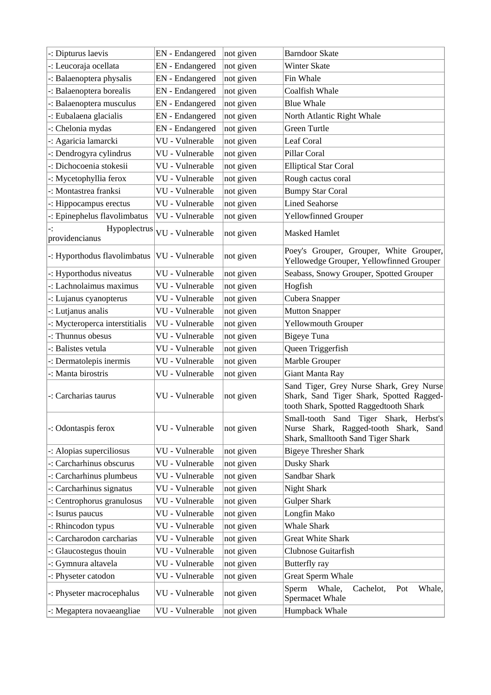| -: Dipturus laevis                             | <b>EN</b> - Endangered | not given | <b>Barndoor Skate</b>                                                                                                          |
|------------------------------------------------|------------------------|-----------|--------------------------------------------------------------------------------------------------------------------------------|
| -: Leucoraja ocellata                          | EN - Endangered        | not given | <b>Winter Skate</b>                                                                                                            |
| -: Balaenoptera physalis                       | EN - Endangered        | not given | Fin Whale                                                                                                                      |
| -: Balaenoptera borealis                       | EN - Endangered        | not given | Coalfish Whale                                                                                                                 |
| -: Balaenoptera musculus                       | EN - Endangered        | not given | <b>Blue Whale</b>                                                                                                              |
| -: Eubalaena glacialis                         | EN - Endangered        | not given | North Atlantic Right Whale                                                                                                     |
| -: Chelonia mydas                              | EN - Endangered        | not given | <b>Green Turtle</b>                                                                                                            |
| -: Agaricia lamarcki                           | VU - Vulnerable        | not given | <b>Leaf Coral</b>                                                                                                              |
| -: Dendrogyra cylindrus                        | VU - Vulnerable        | not given | <b>Pillar Coral</b>                                                                                                            |
| -: Dichocoenia stokesii                        | VU - Vulnerable        | not given | <b>Elliptical Star Coral</b>                                                                                                   |
| -: Mycetophyllia ferox                         | VU - Vulnerable        | not given | Rough cactus coral                                                                                                             |
| -: Montastrea franksi                          | VU - Vulnerable        | not given | <b>Bumpy Star Coral</b>                                                                                                        |
| -: Hippocampus erectus                         | VU - Vulnerable        | not given | <b>Lined Seahorse</b>                                                                                                          |
| -: Epinephelus flavolimbatus                   | VU - Vulnerable        | not given | <b>Yellowfinned Grouper</b>                                                                                                    |
| Hypoplectrus                                   |                        |           |                                                                                                                                |
| providencianus                                 | VU - Vulnerable        | not given | <b>Masked Hamlet</b>                                                                                                           |
| -: Hyporthodus flavolimbatus   VU - Vulnerable |                        | not given | Poey's Grouper, Grouper, White Grouper,<br>Yellowedge Grouper, Yellowfinned Grouper                                            |
| -: Hyporthodus niveatus                        | VU - Vulnerable        | not given | Seabass, Snowy Grouper, Spotted Grouper                                                                                        |
| -: Lachnolaimus maximus                        | VU - Vulnerable        | not given | Hogfish                                                                                                                        |
| -: Lujanus cyanopterus                         | VU - Vulnerable        | not given | Cubera Snapper                                                                                                                 |
| -: Lutjanus analis                             | VU - Vulnerable        | not given | <b>Mutton Snapper</b>                                                                                                          |
| -: Mycteroperca interstitialis                 | VU - Vulnerable        | not given | <b>Yellowmouth Grouper</b>                                                                                                     |
| -: Thunnus obesus                              | VU - Vulnerable        | not given | <b>Bigeye Tuna</b>                                                                                                             |
| -: Balistes vetula                             | VU - Vulnerable        | not given | Queen Triggerfish                                                                                                              |
| -: Dermatolepis inermis                        | VU - Vulnerable        | not given | Marble Grouper                                                                                                                 |
| -: Manta birostris                             | VU - Vulnerable        | not given | Giant Manta Ray                                                                                                                |
| -: Carcharias taurus                           | VU - Vulnerable        | not given | Sand Tiger, Grey Nurse Shark, Grey Nurse<br>Shark, Sand Tiger Shark, Spotted Ragged-<br>tooth Shark, Spotted Raggedtooth Shark |
| -: Odontaspis ferox                            | VU - Vulnerable        | not given | Small-tooth Sand Tiger Shark, Herbst's<br>Nurse Shark, Ragged-tooth Shark,<br>Sand<br>Shark, Smalltooth Sand Tiger Shark       |
| -: Alopias superciliosus                       | VU - Vulnerable        | not given | <b>Bigeye Thresher Shark</b>                                                                                                   |
| -: Carcharhinus obscurus                       | VU - Vulnerable        | not given | Dusky Shark                                                                                                                    |
| -: Carcharhinus plumbeus                       | VU - Vulnerable        | not given | Sandbar Shark                                                                                                                  |
| -: Carcharhinus signatus                       | VU - Vulnerable        | not given | <b>Night Shark</b>                                                                                                             |
| -: Centrophorus granulosus                     | VU - Vulnerable        | not given | <b>Gulper Shark</b>                                                                                                            |
| -: Isurus paucus                               | VU - Vulnerable        | not given | Longfin Mako                                                                                                                   |
| -: Rhincodon typus                             | VU - Vulnerable        | not given | <b>Whale Shark</b>                                                                                                             |
| -: Carcharodon carcharias                      | VU - Vulnerable        | not given | <b>Great White Shark</b>                                                                                                       |
| -: Glaucostegus thouin                         | VU - Vulnerable        | not given | <b>Clubnose Guitarfish</b>                                                                                                     |
| -: Gymnura altavela                            | VU - Vulnerable        | not given | <b>Butterfly</b> ray                                                                                                           |
| -: Physeter catodon                            | VU - Vulnerable        | not given | <b>Great Sperm Whale</b>                                                                                                       |
| -: Physeter macrocephalus                      | VU - Vulnerable        | not given | Whale,<br>Sperm<br>Whale,<br>Cachelot,<br>Pot<br>Spermacet Whale                                                               |
| -: Megaptera novaeangliae                      | VU - Vulnerable        | not given | Humpback Whale                                                                                                                 |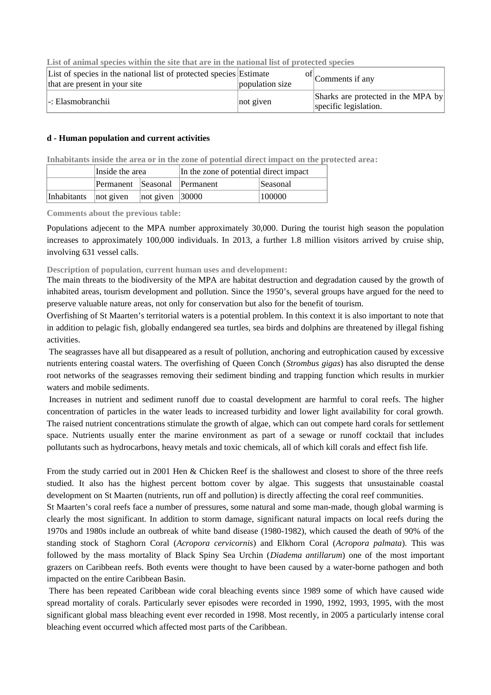|--|

| List of species in the national list of protected species Estimate<br>that are present in your site | population size | $\left  \right $ Comments if any                            |
|-----------------------------------------------------------------------------------------------------|-----------------|-------------------------------------------------------------|
| -: Elasmobranchii                                                                                   | not given       | Sharks are protected in the MPA by<br>specific legislation. |

#### **d - Human population and current activities**

**Inhabitants inside the area or in the zone of potential direct impact on the protected area:** 

|                       | Inside the area              |                                | In the zone of potential direct impact |                 |  |
|-----------------------|------------------------------|--------------------------------|----------------------------------------|-----------------|--|
|                       | Permanent Seasonal Permanent |                                |                                        | <i>Seasonal</i> |  |
| Inhabitants not given |                              | $ not\>$ given $ 30000\rangle$ |                                        | 100000          |  |

**Comments about the previous table:** 

Populations adjecent to the MPA number approximately 30,000. During the tourist high season the population increases to approximately 100,000 individuals. In 2013, a further 1.8 million visitors arrived by cruise ship, involving 631 vessel calls.

#### **Description of population, current human uses and development:**

The main threats to the biodiversity of the MPA are habitat destruction and degradation caused by the growth of inhabited areas, tourism development and pollution. Since the 1950's, several groups have argued for the need to preserve valuable nature areas, not only for conservation but also for the benefit of tourism.

Overfishing of St Maarten's territorial waters is a potential problem. In this context it is also important to note that in addition to pelagic fish, globally endangered sea turtles, sea birds and dolphins are threatened by illegal fishing activities.

The seagrasses have all but disappeared as a result of pollution, anchoring and eutrophication caused by excessive nutrients entering coastal waters. The overfishing of Queen Conch (*Strombus gigas*) has also disrupted the dense root networks of the seagrasses removing their sediment binding and trapping function which results in murkier waters and mobile sediments.

Increases in nutrient and sediment runoff due to coastal development are harmful to coral reefs. The higher concentration of particles in the water leads to increased turbidity and lower light availability for coral growth. The raised nutrient concentrations stimulate the growth of algae, which can out compete hard corals for settlement space. Nutrients usually enter the marine environment as part of a sewage or runoff cocktail that includes pollutants such as hydrocarbons, heavy metals and toxic chemicals, all of which kill corals and effect fish life.

From the study carried out in 2001 Hen & Chicken Reef is the shallowest and closest to shore of the three reefs studied. It also has the highest percent bottom cover by algae. This suggests that unsustainable coastal development on St Maarten (nutrients, run off and pollution) is directly affecting the coral reef communities.

St Maarten's coral reefs face a number of pressures, some natural and some man-made, though global warming is clearly the most significant. In addition to storm damage, significant natural impacts on local reefs during the 1970s and 1980s include an outbreak of white band disease (1980-1982), which caused the death of 90% of the standing stock of Staghorn Coral (*Acropora cervicornis*) and Elkhorn Coral (*Acropora palmata*). This was followed by the mass mortality of Black Spiny Sea Urchin (*Diadema antillarum*) one of the most important grazers on Caribbean reefs. Both events were thought to have been caused by a water-borne pathogen and both impacted on the entire Caribbean Basin.

There has been repeated Caribbean wide coral bleaching events since 1989 some of which have caused wide spread mortality of corals. Particularly sever episodes were recorded in 1990, 1992, 1993, 1995, with the most significant global mass bleaching event ever recorded in 1998. Most recently, in 2005 a particularly intense coral bleaching event occurred which affected most parts of the Caribbean.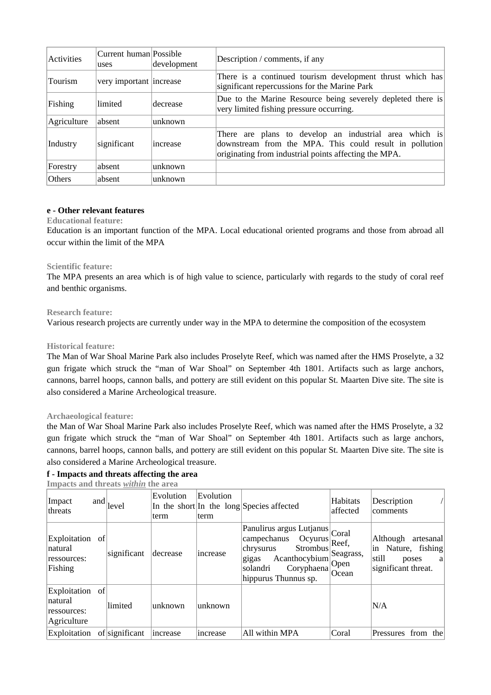| Activities  | Current human Possible<br>uses | development | Description / comments, if any                                                                                                                                             |
|-------------|--------------------------------|-------------|----------------------------------------------------------------------------------------------------------------------------------------------------------------------------|
| Tourism     | very important increase        |             | There is a continued tourism development thrust which has<br>significant repercussions for the Marine Park                                                                 |
| Fishing     | limited                        | decrease    | Due to the Marine Resource being severely depleted there is<br>very limited fishing pressure occurring.                                                                    |
| Agriculture | absent                         | unknown     |                                                                                                                                                                            |
| Industry    | significant                    | increase    | There are plans to develop an industrial area which is<br>downstream from the MPA. This could result in pollution<br>originating from industrial points affecting the MPA. |
| Forestry    | absent                         | unknown     |                                                                                                                                                                            |
| Others      | absent                         | unknown     |                                                                                                                                                                            |

#### **e - Other relevant features**

#### **Educational feature:**

Education is an important function of the MPA. Local educational oriented programs and those from abroad all occur within the limit of the MPA

#### **Scientific feature:**

The MPA presents an area which is of high value to science, particularly with regards to the study of coral reef and benthic organisms.

#### **Research feature:**

Various research projects are currently under way in the MPA to determine the composition of the ecosystem

#### **Historical feature:**

The Man of War Shoal Marine Park also includes Proselyte Reef, which was named after the HMS Proselyte, a 32 gun frigate which struck the "man of War Shoal" on September 4th 1801. Artifacts such as large anchors, cannons, barrel hoops, cannon balls, and pottery are still evident on this popular St. Maarten Dive site. The site is also considered a Marine Archeological treasure.

#### **Archaeological feature:**

the Man of War Shoal Marine Park also includes Proselyte Reef, which was named after the HMS Proselyte, a 32 gun frigate which struck the "man of War Shoal" on September 4th 1801. Artifacts such as large anchors, cannons, barrel hoops, cannon balls, and pottery are still evident on this popular St. Maarten Dive site. The site is also considered a Marine Archeological treasure.

## **f - Impacts and threats affecting the area**

**Impacts and threats** *within* **the area**

| Impact<br> threats                                         | and | level          | Evolution<br>term | Evolution<br>term | In the short In the long Species affected                                                                                                                     | Habitats<br>affected                       | Description<br>comments                                                                      |
|------------------------------------------------------------|-----|----------------|-------------------|-------------------|---------------------------------------------------------------------------------------------------------------------------------------------------------------|--------------------------------------------|----------------------------------------------------------------------------------------------|
| Exploitation of<br> natural <br>ressources:<br>Fishing     |     | significant    | decrease          | increase          | Panulirus argus Lutjanus Coral<br>campechanus<br>Ocyurus<br>Strombus<br>chrysurus<br>gigas<br>Acanthocybium<br>solandri<br>Coryphaena<br>hippurus Thunnus sp. | Reef,<br>Seagrass,<br><b>Open</b><br>Ocean | Although<br>artesanal<br>Nature, fishing<br>in<br>still<br>poses<br>a<br>significant threat. |
| Exploitation of<br> natural <br>ressources:<br>Agriculture |     | limited        | unknown           | unknown           |                                                                                                                                                               |                                            | N/A                                                                                          |
| Exploitation                                               |     | of significant | increase          | increase          | All within MPA                                                                                                                                                | Coral                                      | Pressures<br>from<br>thel                                                                    |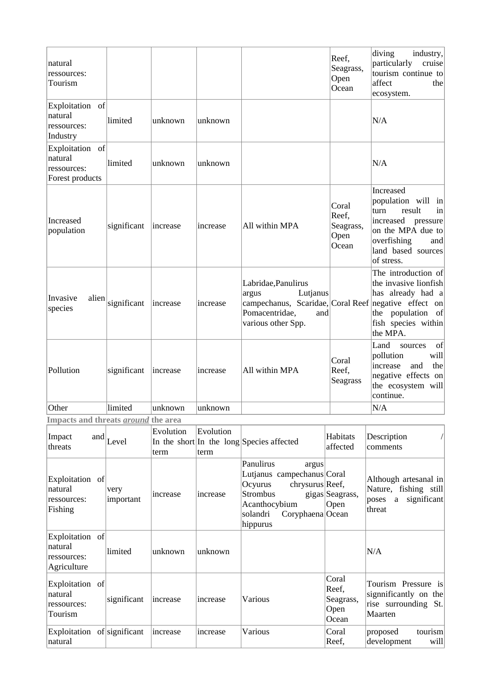| natural<br>ressources:<br>Tourism                            |             |          |          |                                                                                                                                                 | Reef,<br>Seagrass,<br>Open<br>Ocean          | diving<br>industry,<br>particularly<br>cruise<br>tourism continue to<br>affect<br>the<br>ecosystem.                                                             |
|--------------------------------------------------------------|-------------|----------|----------|-------------------------------------------------------------------------------------------------------------------------------------------------|----------------------------------------------|-----------------------------------------------------------------------------------------------------------------------------------------------------------------|
| Exploitation of<br>natural<br>ressources:<br>Industry        | limited     | unknown  | unknown  |                                                                                                                                                 |                                              | N/A                                                                                                                                                             |
| Exploitation of<br>natural<br>ressources:<br>Forest products | limited     | unknown  | unknown  |                                                                                                                                                 |                                              | N/A                                                                                                                                                             |
| Increased<br>population                                      | significant | increase | increase | All within MPA                                                                                                                                  | Coral<br>Reef,<br>Seagrass,<br>Open<br>Ocean | Increased<br>population will in<br>turn<br>result<br>in<br>increased<br>pressure<br>on the MPA due to<br>overfishing<br>and<br>land based sources<br>of stress. |
| Invasive<br>alien<br>species                                 | significant | increase | increase | Labridae, Panulirus<br>Lutjanus<br>argus<br>campechanus, Scaridae, Coral Reef negative effect on<br>Pomacentridae,<br>and<br>various other Spp. |                                              | The introduction of<br>the invasive lionfish<br>has already had a<br>of<br>the population<br>fish species within<br>the MPA.                                    |
| Pollution                                                    | significant | increase | increase | All within MPA                                                                                                                                  | Coral<br>Reef,<br><b>Seagrass</b>            | Land<br>of<br>sources<br>will<br>pollution<br>and<br>the<br>increase<br>negative effects on<br>the ecosystem will<br>continue.                                  |
| Other                                                        | limited     | unknown  | unknown  |                                                                                                                                                 |                                              | N/A                                                                                                                                                             |

**Impacts and threats** *around* **the area**

| Impact<br>threats                                        | and | Level             | Evolution<br>term | Evolution<br>term | In the short In the long Species affected                                                                                                               | <b>Habitats</b><br>affected                  | Description<br>comments                                                                          |
|----------------------------------------------------------|-----|-------------------|-------------------|-------------------|---------------------------------------------------------------------------------------------------------------------------------------------------------|----------------------------------------------|--------------------------------------------------------------------------------------------------|
| Exploitation of<br>natural<br>ressources:<br>Fishing     |     | very<br>important | increase          | increase          | Panulirus<br>argus<br>Lutjanus campechanus Coral<br>chrysurus Reef,<br>Ocyurus<br>Strombus<br>Acanthocybium<br>solandri<br>Coryphaena Ocean<br>hippurus | gigas Seagrass,<br>Open                      | Although artesanal in<br>Nature, fishing still<br>significant<br>poses<br>$\mathbf{a}$<br>threat |
| Exploitation of<br>natural<br>ressources:<br>Agriculture |     | limited           | unknown           | unknown           |                                                                                                                                                         |                                              | N/A                                                                                              |
| Exploitation of<br>natural<br>ressources:<br>Tourism     |     | significant       | increase          | increase          | Various                                                                                                                                                 | Coral<br>Reef,<br>Seagrass,<br>Open<br>Ocean | Tourism Pressure is<br>signnificantly on the<br>rise surrounding St.<br>Maarten                  |
| Exploitation of significant<br>natural                   |     |                   | increase          | increase          | Various                                                                                                                                                 | Coral<br>Reef,                               | tourism<br>proposed<br>development<br>will                                                       |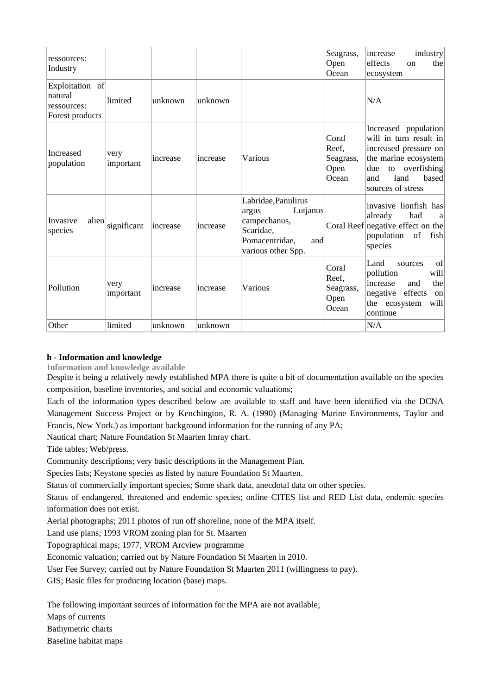| ressources:<br>Industry                                      |                   |          |          |                                                                                                                      | Seagrass,<br>Open<br>Ocean                   | industry<br>increase<br>effects<br>the<br>on<br>ecosystem                                                                                                                |
|--------------------------------------------------------------|-------------------|----------|----------|----------------------------------------------------------------------------------------------------------------------|----------------------------------------------|--------------------------------------------------------------------------------------------------------------------------------------------------------------------------|
| Exploitation of<br>natural<br>ressources:<br>Forest products | limited           | unknown  | unknown  |                                                                                                                      |                                              | N/A                                                                                                                                                                      |
| Increased<br>population                                      | very<br>important | increase | increase | Various                                                                                                              | Coral<br>Reef,<br>Seagrass,<br>Open<br>Ocean | Increased population<br>will in turn result in<br>increased pressure on<br>the marine ecosystem<br>overfishing<br>due<br>to<br>land<br>based<br>and<br>sources of stress |
| Invasive<br>alien<br>species                                 | significant       | increase | increase | Labridae, Panulirus<br>Lutjanus<br>argus<br>campechanus,<br>Scaridae,<br>Pomacentridae,<br>and<br>various other Spp. |                                              | invasive lionfish has<br>already<br>had<br>a<br>Coral Reef negative effect on the<br>population<br>of<br>fish<br>species                                                 |
| Pollution                                                    | very<br>important | increase | increase | Various                                                                                                              | Coral<br>Reef,<br>Seagrass,<br>Open<br>Ocean | of<br>Land<br>sources<br>pollution<br>will<br>the<br>and<br>increase<br>negative effects<br>on<br>the ecosystem<br>will<br>continue                                      |
| Other                                                        | limited           | unknown  | unknown  |                                                                                                                      |                                              | N/A                                                                                                                                                                      |

#### **h - Information and knowledge**

**Information and knowledge available**

Despite it being a relatively newly established MPA there is quite a bit of documentation available on the species composition, baseline inventories, and social and economic valuations;

Each of the information types described below are available to staff and have been identified via the DCNA Management Success Project or by Kenchington, R. A. (1990) (Managing Marine Environments, Taylor and Francis, New York.) as important background information for the running of any PA;

Nautical chart; Nature Foundation St Maarten Imray chart.

Tide tables; Web/press.

Community descriptions; very basic descriptions in the Management Plan.

Species lists; Keystone species as listed by nature Foundation St Maarten.

Status of commercially important species; Some shark data, anecdotal data on other species.

Status of endangered, threatened and endemic species; online CITES list and RED List data, endemic species information does not exist.

Aerial photographs; 2011 photos of run off shoreline, none of the MPA itself.

Land use plans; 1993 VROM zoning plan for St. Maarten

Topographical maps; 1977, VROM Arcview programme

Economic valuation; carried out by Nature Foundation St Maarten in 2010.

User Fee Survey; carried out by Nature Foundation St Maarten 2011 (willingness to pay).

GIS; Basic files for producing location (base) maps.

The following important sources of information for the MPA are not available;

Maps of currents

Bathymetric charts

Baseline habitat maps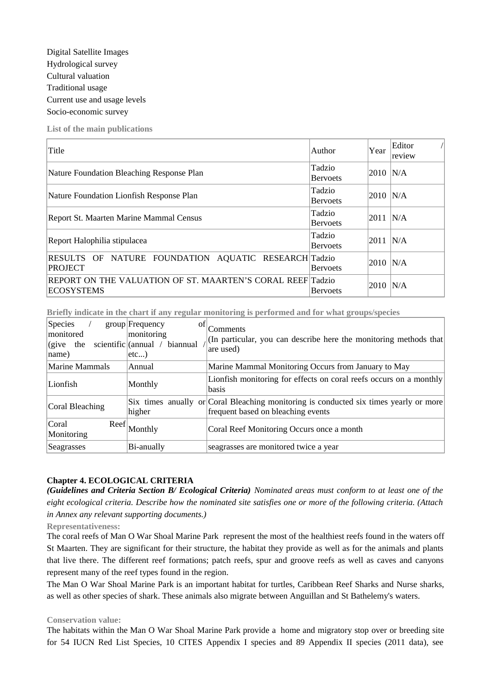**List of the main publications**

| Title                                                                           | Author                    | Year | Editor<br>review |
|---------------------------------------------------------------------------------|---------------------------|------|------------------|
| Nature Foundation Bleaching Response Plan                                       | Tadzio<br><b>Bervoets</b> | 2010 | N/A              |
| Nature Foundation Lionfish Response Plan                                        | Tadzio<br><b>Bervoets</b> | 2010 | N/A              |
| Report St. Maarten Marine Mammal Census                                         | Tadzio<br><b>Bervoets</b> | 2011 | N/A              |
| Report Halophilia stipulacea                                                    | Tadzio<br><b>Bervoets</b> | 2011 | N/A              |
| NATURE FOUNDATION AQUATIC RESEARCH Tadzio<br>RESULTS OF<br><b>PROJECT</b>       | <b>Bervoets</b>           | 2010 | N/A              |
| REPORT ON THE VALUATION OF ST. MAARTEN'S CORAL REEF Tadzio<br><b>ECOSYSTEMS</b> | <b>Bervoets</b>           | 2010 | N/A              |

**Briefly indicate in the chart if any regular monitoring is performed and for what groups/species**

| <b>Species</b><br>monitored<br>$ $ (give the<br>name) | group Frequency<br>οf<br>monitoring<br>scientific $\alpha$ /<br>biannual<br>etc) | Comments<br>(In particular, you can describe here the monitoring methods that<br>are used)                                  |
|-------------------------------------------------------|----------------------------------------------------------------------------------|-----------------------------------------------------------------------------------------------------------------------------|
| Marine Mammals                                        | Annual                                                                           | Marine Mammal Monitoring Occurs from January to May                                                                         |
| Lionfish                                              | Monthly                                                                          | Lionfish monitoring for effects on coral reefs occurs on a monthly<br><b>basis</b>                                          |
| Coral Bleaching                                       | higher                                                                           | Six times anually or Coral Bleaching monitoring is conducted six times yearly or more<br>frequent based on bleaching events |
| Coral<br>Reef<br>Monitoring                           | Monthly                                                                          | Coral Reef Monitoring Occurs once a month                                                                                   |
| Seagrasses                                            | Bi-anually                                                                       | seagrasses are monitored twice a year                                                                                       |

#### **Chapter 4. ECOLOGICAL CRITERIA**

*(Guidelines and Criteria Section B/ Ecological Criteria) Nominated areas must conform to at least one of the eight ecological criteria. Describe how the nominated site satisfies one or more of the following criteria. (Attach in Annex any relevant supporting documents.)*

**Representativeness:** 

The coral reefs of Man O War Shoal Marine Park represent the most of the healthiest reefs found in the waters off St Maarten. They are significant for their structure, the habitat they provide as well as for the animals and plants that live there. The different reef formations; patch reefs, spur and groove reefs as well as caves and canyons represent many of the reef types found in the region.

The Man O War Shoal Marine Park is an important habitat for turtles, Caribbean Reef Sharks and Nurse sharks, as well as other species of shark. These animals also migrate between Anguillan and St Bathelemy's waters.

#### **Conservation value:**

The habitats within the Man O War Shoal Marine Park provide a home and migratory stop over or breeding site for 54 IUCN Red List Species, 10 CITES Appendix I species and 89 Appendix II species (2011 data), see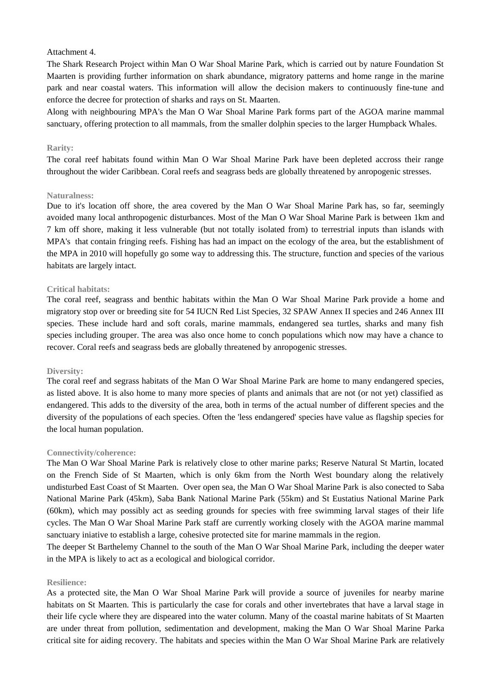#### Attachment 4.

The Shark Research Project within Man O War Shoal Marine Park, which is carried out by nature Foundation St Maarten is providing further information on shark abundance, migratory patterns and home range in the marine park and near coastal waters. This information will allow the decision makers to continuously fine-tune and enforce the decree for protection of sharks and rays on St. Maarten.

Along with neighbouring MPA's the Man O War Shoal Marine Park forms part of the AGOA marine mammal sanctuary, offering protection to all mammals, from the smaller dolphin species to the larger Humpback Whales.

#### **Rarity:**

The coral reef habitats found within Man O War Shoal Marine Park have been depleted accross their range throughout the wider Caribbean. Coral reefs and seagrass beds are globally threatened by anropogenic stresses.

#### **Naturalness:**

Due to it's location off shore, the area covered by the Man O War Shoal Marine Park has, so far, seemingly avoided many local anthropogenic disturbances. Most of the Man O War Shoal Marine Park is between 1km and 7 km off shore, making it less vulnerable (but not totally isolated from) to terrestrial inputs than islands with MPA's that contain fringing reefs. Fishing has had an impact on the ecology of the area, but the establishment of the MPA in 2010 will hopefully go some way to addressing this. The structure, function and species of the various habitats are largely intact.

#### **Critical habitats:**

The coral reef, seagrass and benthic habitats within the Man O War Shoal Marine Park provide a home and migratory stop over or breeding site for 54 IUCN Red List Species, 32 SPAW Annex II species and 246 Annex III species. These include hard and soft corals, marine mammals, endangered sea turtles, sharks and many fish species including grouper. The area was also once home to conch populations which now may have a chance to recover. Coral reefs and seagrass beds are globally threatened by anropogenic stresses.

#### **Diversity:**

The coral reef and segrass habitats of the Man O War Shoal Marine Park are home to many endangered species, as listed above. It is also home to many more species of plants and animals that are not (or not yet) classified as endangered. This adds to the diversity of the area, both in terms of the actual number of different species and the diversity of the populations of each species. Often the 'less endangered' species have value as flagship species for the local human population.

#### **Connectivity/coherence:**

The Man O War Shoal Marine Park is relatively close to other marine parks; Reserve Natural St Martin, located on the French Side of St Maarten, which is only 6km from the North West boundary along the relatively undisturbed East Coast of St Maarten. Over open sea, the Man O War Shoal Marine Park is also conected to Saba National Marine Park (45km), Saba Bank National Marine Park (55km) and St Eustatius National Marine Park (60km), which may possibly act as seeding grounds for species with free swimming larval stages of their life cycles. The Man O War Shoal Marine Park staff are currently working closely with the AGOA marine mammal sanctuary iniative to establish a large, cohesive protected site for marine mammals in the region.

The deeper St Barthelemy Channel to the south of the Man O War Shoal Marine Park, including the deeper water in the MPA is likely to act as a ecological and biological corridor.

#### **Resilience:**

As a protected site, the Man O War Shoal Marine Park will provide a source of juveniles for nearby marine habitats on St Maarten. This is particularly the case for corals and other invertebrates that have a larval stage in their life cycle where they are dispeared into the water column. Many of the coastal marine habitats of St Maarten are under threat from pollution, sedimentation and development, making the Man O War Shoal Marine Parka critical site for aiding recovery. The habitats and species within the Man O War Shoal Marine Park are relatively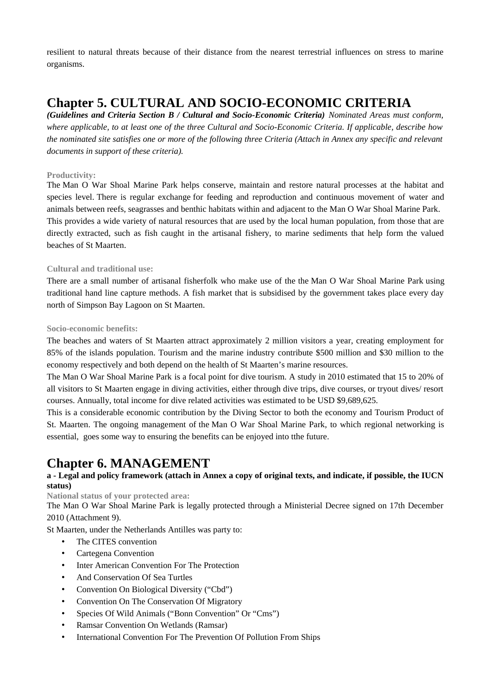resilient to natural threats because of their distance from the nearest terrestrial influences on stress to marine organisms.

## **Chapter 5. CULTURAL AND SOCIO-ECONOMIC CRITERIA**

*(Guidelines and Criteria Section B / Cultural and Socio-Economic Criteria) Nominated Areas must conform, where applicable, to at least one of the three Cultural and Socio-Economic Criteria. If applicable, describe how the nominated site satisfies one or more of the following three Criteria (Attach in Annex any specific and relevant documents in support of these criteria).*

### **Productivity:**

The Man O War Shoal Marine Park helps conserve, maintain and restore natural processes at the habitat and species level. There is regular exchange for feeding and reproduction and continuous movement of water and animals between reefs, seagrasses and benthic habitats within and adjacent to the Man O War Shoal Marine Park. This provides a wide variety of natural resources that are used by the local human population, from those that are directly extracted, such as fish caught in the artisanal fishery, to marine sediments that help form the valued beaches of St Maarten.

## **Cultural and traditional use:**

There are a small number of artisanal fisherfolk who make use of the the Man O War Shoal Marine Park using traditional hand line capture methods. A fish market that is subsidised by the government takes place every day north of Simpson Bay Lagoon on St Maarten.

#### **Socio-economic benefits:**

The beaches and waters of St Maarten attract approximately 2 million visitors a year, creating employment for 85% of the islands population. Tourism and the marine industry contribute \$500 million and \$30 million to the economy respectively and both depend on the health of St Maarten's marine resources.

The Man O War Shoal Marine Park is a focal point for dive tourism. A study in 2010 estimated that 15 to 20% of all visitors to St Maarten engage in diving activities, either through dive trips, dive courses, or tryout dives/ resort courses. Annually, total income for dive related activities was estimated to be USD \$9,689,625.

This is a considerable economic contribution by the Diving Sector to both the economy and Tourism Product of St. Maarten. The ongoing management of the Man O War Shoal Marine Park, to which regional networking is essential, goes some way to ensuring the benefits can be enjoyed into tthe future.

## **Chapter 6. MANAGEMENT**

## **a - Legal and policy framework (attach in Annex a copy of original texts, and indicate, if possible, the IUCN status)**

**National status of your protected area:**

The Man O War Shoal Marine Park is legally protected through a Ministerial Decree signed on 17th December 2010 (Attachment 9).

St Maarten, under the Netherlands Antilles was party to:

- The CITES convention
- Cartegena Convention
- Inter American Convention For The Protection
- And Conservation Of Sea Turtles
- Convention On Biological Diversity ("Cbd")
- Convention On The Conservation Of Migratory
- Species Of Wild Animals ("Bonn Convention" Or "Cms")
- Ramsar Convention On Wetlands (Ramsar)
- International Convention For The Prevention Of Pollution From Ships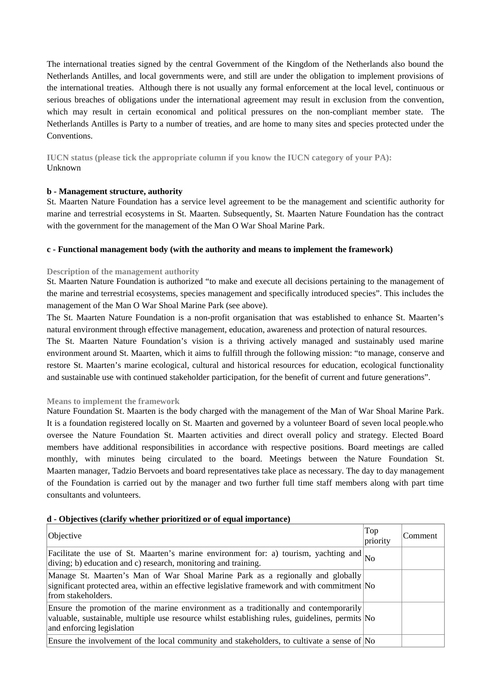The international treaties signed by the central Government of the Kingdom of the Netherlands also bound the Netherlands Antilles, and local governments were, and still are under the obligation to implement provisions of the international treaties. Although there is not usually any formal enforcement at the local level, continuous or serious breaches of obligations under the international agreement may result in exclusion from the convention, which may result in certain economical and political pressures on the non-compliant member state. The Netherlands Antilles is Party to a number of treaties, and are home to many sites and species protected under the Conventions.

**IUCN status (please tick the appropriate column if you know the IUCN category of your PA):**  Unknown

#### **b - Management structure, authority**

St. Maarten Nature Foundation has a service level agreement to be the management and scientific authority for marine and terrestrial ecosystems in St. Maarten. Subsequently, St. Maarten Nature Foundation has the contract with the government for the management of the Man O War Shoal Marine Park.

#### **c - Functional management body (with the authority and means to implement the framework)**

#### **Description of the management authority**

St. Maarten Nature Foundation is authorized "to make and execute all decisions pertaining to the management of the marine and terrestrial ecosystems, species management and specifically introduced species". This includes the management of the Man O War Shoal Marine Park (see above).

The St. Maarten Nature Foundation is a non-profit organisation that was established to enhance St. Maarten's natural environment through effective management, education, awareness and protection of natural resources.

The St. Maarten Nature Foundation's vision is a thriving actively managed and sustainably used marine environment around St. Maarten, which it aims to fulfill through the following mission: "to manage, conserve and restore St. Maarten's marine ecological, cultural and historical resources for education, ecological functionality and sustainable use with continued stakeholder participation, for the benefit of current and future generations".

#### **Means to implement the framework**

Nature Foundation St. Maarten is the body charged with the management of the Man of War Shoal Marine Park. It is a foundation registered locally on St. Maarten and governed by a volunteer Board of seven local people.who oversee the Nature Foundation St. Maarten activities and direct overall policy and strategy. Elected Board members have additional responsibilities in accordance with respective positions. Board meetings are called monthly, with minutes being circulated to the board. Meetings between the Nature Foundation St. Maarten manager, Tadzio Bervoets and board representatives take place as necessary. The day to day management of the Foundation is carried out by the manager and two further full time staff members along with part time consultants and volunteers.

#### **d - Objectives (clarify whether prioritized or of equal importance)**

| Objective                                                                                                                                                                                                           | Top<br>priority | Comment |
|---------------------------------------------------------------------------------------------------------------------------------------------------------------------------------------------------------------------|-----------------|---------|
| Facilitate the use of St. Maarten's marine environment for: a) tourism, yachting and $_{\text{No}}$<br>diving; b) education and c) research, monitoring and training.                                               |                 |         |
| Manage St. Maarten's Man of War Shoal Marine Park as a regionally and globally<br>significant protected area, within an effective legislative framework and with commitment $\overline{N}$<br>from stakeholders.    |                 |         |
| Ensure the promotion of the marine environment as a traditionally and contemporarily<br>valuable, sustainable, multiple use resource whilst establishing rules, guidelines, permits No<br>and enforcing legislation |                 |         |
| Ensure the involvement of the local community and stakeholders, to cultivate a sense of $\overline{N}$                                                                                                              |                 |         |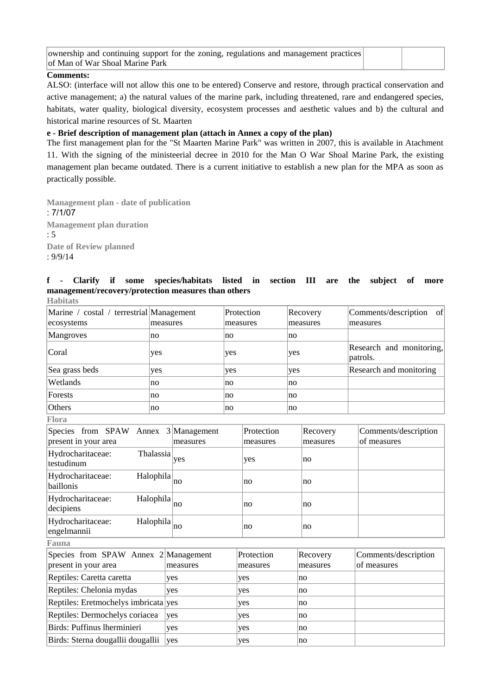| ownership and continuing support for the zoning, regulations and management practices |  |
|---------------------------------------------------------------------------------------|--|
| of Man of War Shoal Marine Park                                                       |  |

#### **Comments:**

ALSO: (interface will not allow this one to be entered) Conserve and restore, through practical conservation and active management; a) the natural values of the marine park, including threatened, rare and endangered species, habitats, water quality, biological diversity, ecosystem processes and aesthetic values and b) the cultural and historical marine resources of St. Maarten

#### **e - Brief description of management plan (attach in Annex a copy of the plan)**

The first management plan for the "St Maarten Marine Park" was written in 2007, this is available in Atachment 11. With the signing of the ministeerial decree in 2010 for the Man O War Shoal Marine Park, the existing management plan became outdated. There is a current initiative to establish a new plan for the MPA as soon as practically possible.

**Management plan - date of publication**  : 7/1/07 **Management plan duration**  : 5 **Date of Review planned**  : 9/9/14

#### **f - Clarify if some species/habitats listed in section III are the subject of more management/recovery/protection measures than others Habitats**

| Marine / costal / terrestrial Management<br>ecosystems | measures | Protection<br>measures | Recovery<br>measures | of<br>Comments/description<br>measures |
|--------------------------------------------------------|----------|------------------------|----------------------|----------------------------------------|
| Mangroves                                              | no       | no                     | no                   |                                        |
| Coral                                                  | yes      | yes                    | yes                  | Research and monitoring,<br>patrols.   |
| Sea grass beds                                         | yes      | yes                    | yes                  | Research and monitoring                |
| Wetlands                                               | no       | no                     | no                   |                                        |
| Forests                                                | no       | no                     | no                   |                                        |
| Others                                                 | no       | no                     | no                   |                                        |
| <b>Flora</b>                                           |          |                        |                      |                                        |

| Species from SPAW Annex 3 Management                |                 | Protection | Recovery | Comments/description<br>of measures |
|-----------------------------------------------------|-----------------|------------|----------|-------------------------------------|
| present in your area                                | measures        | measures   | measures |                                     |
| Hydrocharitaceae:<br><b>Thalassia</b><br>testudinum | yes             | yes        | no       |                                     |
| Hydrocharitaceae:<br>Halophila<br>baillonis         | no              | no         | no       |                                     |
| Hydrocharitaceae:<br>Halophila<br>decipiens         | $\overline{p}$  | no         | no       |                                     |
| Hydrocharitaceae:<br>Halophila<br>engelmannii       | $\overline{no}$ | no         | no       |                                     |
| Fauna                                               |                 |            |          |                                     |
| Species from SPAW Annex 2 Management                |                 | Protection | Recovery | Comments/description                |
| present in your area                                | measures        | measures   | measures | of measures                         |
| Reptiles: Caretta caretta                           | ves             | yes        | no       |                                     |
| Reptiles: Chelonia mydas                            | yes             | yes        | no       |                                     |
| Reptiles: Eretmochelys imbricata yes                |                 | yes        | no       |                                     |
| Reptiles: Dermochelys coriacea                      | yes             | yes        | no       |                                     |
| Birds: Puffinus lherminieri                         | yes             | yes        | no       |                                     |
| Birds: Sterna dougallii dougallii                   | ves             | yes        | no       |                                     |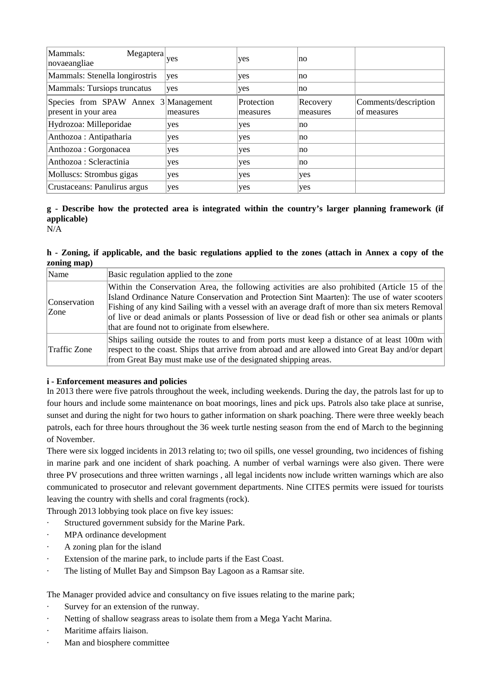| Mammals:<br>Megaptera<br>novaeangliae                        | ves      | yes                    | no                   |                                     |
|--------------------------------------------------------------|----------|------------------------|----------------------|-------------------------------------|
| Mammals: Stenella longirostris                               | ves      | yes                    | no                   |                                     |
| Mammals: Tursiops truncatus                                  | ves      | yes                    | no                   |                                     |
| Species from SPAW Annex 3 Management<br>present in your area | measures | Protection<br>measures | Recovery<br>measures | Comments/description<br>of measures |
| Hydrozoa: Milleporidae                                       | ves      | yes                    | no                   |                                     |
| Anthozoa : Antipatharia                                      | yes      | yes                    | no                   |                                     |
| Anthozoa : Gorgonacea                                        | yes      | yes                    | no                   |                                     |
| Anthozoa : Scleractinia                                      | ves      | yes                    | no                   |                                     |
| Molluscs: Strombus gigas                                     | ves      | yes                    | yes                  |                                     |
| Crustaceans: Panulirus argus                                 | yes      | yes                    | yes                  |                                     |

## **g - Describe how the protected area is integrated within the country's larger planning framework (if applicable)**

N/A

#### **h - Zoning, if applicable, and the basic regulations applied to the zones (attach in Annex a copy of the zoning map)**

| Name                  | Basic regulation applied to the zone                                                                                                                                                                                                                                                                                                                                                                                                                      |
|-----------------------|-----------------------------------------------------------------------------------------------------------------------------------------------------------------------------------------------------------------------------------------------------------------------------------------------------------------------------------------------------------------------------------------------------------------------------------------------------------|
| Conservation<br> Zone | Within the Conservation Area, the following activities are also prohibited (Article 15 of the<br>Island Ordinance Nature Conservation and Protection Sint Maarten): The use of water scooters<br>[Fishing of any kind Sailing with a vessel with an average draft of more than six meters Removal]<br>of live or dead animals or plants Possession of live or dead fish or other sea animals or plants<br>that are found not to originate from elsewhere. |
| Traffic Zone          | Ships sailing outside the routes to and from ports must keep a distance of at least 100m with<br>respect to the coast. Ships that arrive from abroad and are allowed into Great Bay and/or depart<br>from Great Bay must make use of the designated shipping areas.                                                                                                                                                                                       |

#### **i - Enforcement measures and policies**

In 2013 there were five patrols throughout the week, including weekends. During the day, the patrols last for up to four hours and include some maintenance on boat moorings, lines and pick ups. Patrols also take place at sunrise, sunset and during the night for two hours to gather information on shark poaching. There were three weekly beach patrols, each for three hours throughout the 36 week turtle nesting season from the end of March to the beginning of November.

There were six logged incidents in 2013 relating to; two oil spills, one vessel grounding, two incidences of fishing in marine park and one incident of shark poaching. A number of verbal warnings were also given. There were three PV prosecutions and three written warnings , all legal incidents now include written warnings which are also communicated to prosecutor and relevant government departments. Nine CITES permits were issued for tourists leaving the country with shells and coral fragments (rock).

Through 2013 lobbying took place on five key issues:

- Structured government subsidy for the Marine Park.
- · MPA ordinance development
- · A zoning plan for the island
- Extension of the marine park, to include parts if the East Coast.
- · The listing of Mullet Bay and Simpson Bay Lagoon as a Ramsar site.

The Manager provided advice and consultancy on five issues relating to the marine park;

- Survey for an extension of the runway.
- · Netting of shallow seagrass areas to isolate them from a Mega Yacht Marina.
- · Maritime affairs liaison.
- Man and biosphere committee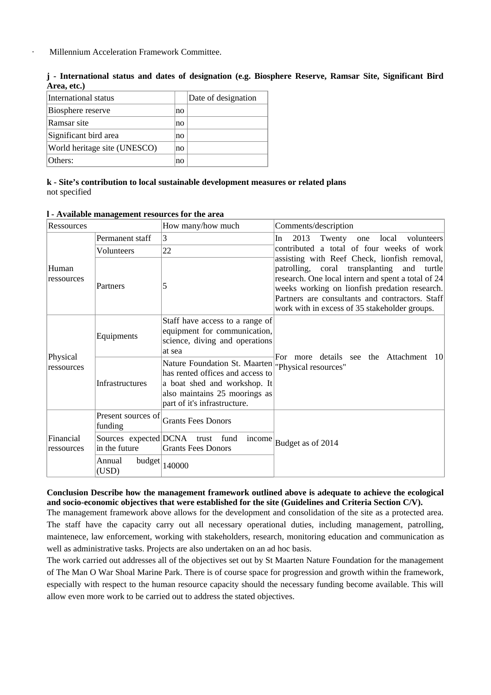Millennium Acceleration Framework Committee.

**j - International status and dates of designation (e.g. Biosphere Reserve, Ramsar Site, Significant Bird Area, etc.)**

| International status         |    | Date of designation |
|------------------------------|----|---------------------|
| Biosphere reserve            | no |                     |
| Ramsar site                  | no |                     |
| Significant bird area        | no |                     |
| World heritage site (UNESCO) | no |                     |
| Others:                      | no |                     |

**k - Site's contribution to local sustainable development measures or related plans** not specified

| Ressources              |                               | How many/how much                                                                                                                                                                                   | Comments/description                                                                                                                                                                                                                                                                                  |
|-------------------------|-------------------------------|-----------------------------------------------------------------------------------------------------------------------------------------------------------------------------------------------------|-------------------------------------------------------------------------------------------------------------------------------------------------------------------------------------------------------------------------------------------------------------------------------------------------------|
|                         | Permanent staff               | 3                                                                                                                                                                                                   | 2013<br>In<br>Twenty one local volunteers                                                                                                                                                                                                                                                             |
|                         | Volunteers                    | 22                                                                                                                                                                                                  | contributed a total of four weeks of work                                                                                                                                                                                                                                                             |
| Human<br>ressources     | Partners                      | 5                                                                                                                                                                                                   | assisting with Reef Check, lionfish removal,<br>patrolling, coral transplanting and turtle<br>research. One local intern and spent a total of 24<br>weeks working on lionfish predation research.<br>Partners are consultants and contractors. Staff<br>work with in excess of 35 stakeholder groups. |
| Physical<br>ressources  | Equipments                    | Staff have access to a range of<br>equipment for communication,<br>science, diving and operations<br>at sea                                                                                         |                                                                                                                                                                                                                                                                                                       |
|                         | Infrastructures               | Nature Foundation St. Maarten <sup>"</sup> Physical resources"<br>has rented offices and access to<br>a boat shed and workshop. It<br>also maintains 25 moorings as<br>part of it's infrastructure. | For more details see the Attachment<br>-101                                                                                                                                                                                                                                                           |
|                         | Present sources of<br>funding | <b>Grants Fees Donors</b>                                                                                                                                                                           |                                                                                                                                                                                                                                                                                                       |
| Financial<br>ressources | in the future                 | Sources expected DCNA trust fund<br>income<br><b>Grants Fees Donors</b>                                                                                                                             | Budget as of 2014                                                                                                                                                                                                                                                                                     |
|                         | budget<br>Annual<br>(USD)     | 140000                                                                                                                                                                                              |                                                                                                                                                                                                                                                                                                       |

#### **l - Available management resources for the area**

#### **Conclusion Describe how the management framework outlined above is adequate to achieve the ecological and socio-economic objectives that were established for the site (Guidelines and Criteria Section C/V).**

The management framework above allows for the development and consolidation of the site as a protected area. The staff have the capacity carry out all necessary operational duties, including management, patrolling, maintenece, law enforcement, working with stakeholders, research, monitoring education and communication as well as administrative tasks. Projects are also undertaken on an ad hoc basis.

The work carried out addresses all of the objectives set out by St Maarten Nature Foundation for the management of The Man O War Shoal Marine Park. There is of course space for progression and growth within the framework, especially with respect to the human resource capacity should the necessary funding become available. This will allow even more work to be carried out to address the stated objectives.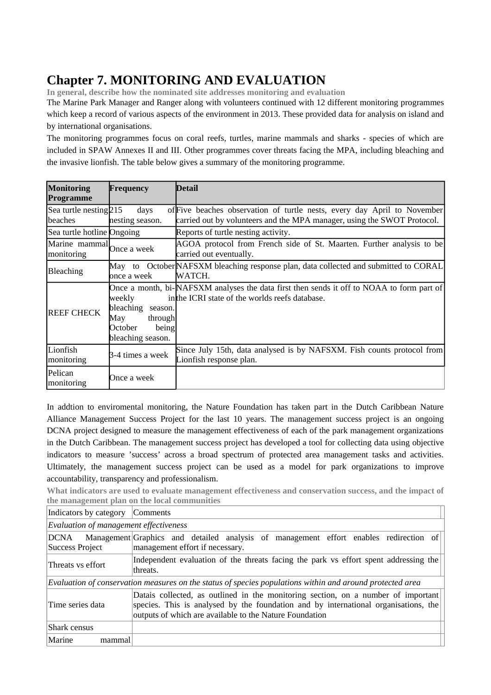# **Chapter 7. MONITORING AND EVALUATION**

**In general, describe how the nominated site addresses monitoring and evaluation** 

The Marine Park Manager and Ranger along with volunteers continued with 12 different monitoring programmes which keep a record of various aspects of the environment in 2013. These provided data for analysis on island and by international organisations.

The monitoring programmes focus on coral reefs, turtles, marine mammals and sharks - species of which are included in SPAW Annexes II and III. Other programmes cover threats facing the MPA, including bleaching and the invasive lionfish. The table below gives a summary of the monitoring programme.

| <b>Monitoring</b><br>Programme          | Frequency                                                                                 | Detail                                                                                                                                              |
|-----------------------------------------|-------------------------------------------------------------------------------------------|-----------------------------------------------------------------------------------------------------------------------------------------------------|
| Sea turtle nesting 215<br>beaches       | days<br>nesting season.                                                                   | of Five beaches observation of turtle nests, every day April to November<br>carried out by volunteers and the MPA manager, using the SWOT Protocol. |
| Sea turtle hotline Ongoing              |                                                                                           | Reports of turtle nesting activity.                                                                                                                 |
| Marine mammal Once a week<br>monitoring |                                                                                           | AGOA protocol from French side of St. Maarten. Further analysis to be<br>carried out eventually.                                                    |
| <b>Bleaching</b>                        | once a week                                                                               | May to October NAFSXM bleaching response plan, data collected and submitted to CORAL<br>WATCH.                                                      |
| <b>REEF CHECK</b>                       | weekly<br>bleaching<br>season.<br>May<br>through<br>being<br>October<br>bleaching season. | Once a month, bi-NAFSXM analyses the data first then sends it off to NOAA to form part of<br>in the ICRI state of the worlds reefs database.        |
| Lionfish<br>monitoring                  | 3-4 times a week                                                                          | Since July 15th, data analysed is by NAFSXM. Fish counts protocol from<br>Lionfish response plan.                                                   |
| Pelican<br>monitoring                   | Once a week                                                                               |                                                                                                                                                     |

In addtion to enviromental monitoring, the Nature Foundation has taken part in the Dutch Caribbean Nature Alliance Management Success Project for the last 10 years. The management success project is an ongoing DCNA project designed to measure the management effectiveness of each of the park management organizations in the Dutch Caribbean. The management success project has developed a tool for collecting data using objective indicators to measure 'success' across a broad spectrum of protected area management tasks and activities. Ultimately, the management success project can be used as a model for park organizations to improve accountability, transparency and professionalism.

**What indicators are used to evaluate management effectiveness and conservation success, and the impact of the management plan on the local communities** 

| Indicators by category                                                                                                                                                                                                                                  | <b>Comments</b>                                                                                                          |  |  |  |
|---------------------------------------------------------------------------------------------------------------------------------------------------------------------------------------------------------------------------------------------------------|--------------------------------------------------------------------------------------------------------------------------|--|--|--|
| Evaluation of management effectiveness                                                                                                                                                                                                                  |                                                                                                                          |  |  |  |
| DCNA<br>Success Project                                                                                                                                                                                                                                 | Management Graphics and detailed analysis of management effort enables redirection of<br>management effort if necessary. |  |  |  |
| Threats vs effort                                                                                                                                                                                                                                       | Independent evaluation of the threats facing the park vs effort spent addressing the<br>threats.                         |  |  |  |
|                                                                                                                                                                                                                                                         | Evaluation of conservation measures on the status of species populations within and around protected area                |  |  |  |
| Datais collected, as outlined in the monitoring section, on a number of important<br>species. This is analysed by the foundation and by international organisations, the<br>Time series data<br>outputs of which are available to the Nature Foundation |                                                                                                                          |  |  |  |
| Shark census                                                                                                                                                                                                                                            |                                                                                                                          |  |  |  |
| Marine<br>mammal                                                                                                                                                                                                                                        |                                                                                                                          |  |  |  |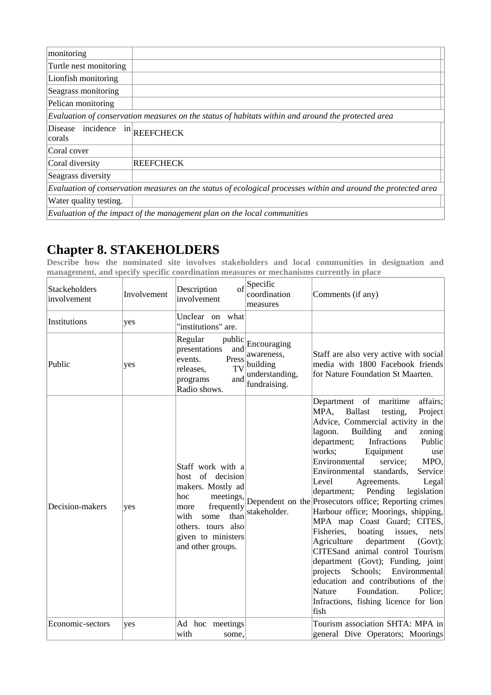| monitoring                   |                                                                                                                |
|------------------------------|----------------------------------------------------------------------------------------------------------------|
| Turtle nest monitoring       |                                                                                                                |
| Lionfish monitoring          |                                                                                                                |
| Seagrass monitoring          |                                                                                                                |
| Pelican monitoring           |                                                                                                                |
|                              | Evaluation of conservation measures on the status of habitats within and around the protected area             |
| Disease incidence<br> corals | $\ln \left $ REEFCHECK                                                                                         |
| Coral cover                  |                                                                                                                |
| Coral diversity              | <b>REEFCHECK</b>                                                                                               |
| Seagrass diversity           |                                                                                                                |
|                              | Evaluation of conservation measures on the status of ecological processes within and around the protected area |
| Water quality testing.       |                                                                                                                |
|                              | Evaluation of the impact of the management plan on the local communities                                       |

## **Chapter 8. STAKEHOLDERS**

**Describe how the nominated site involves stakeholders and local communities in designation and management, and specify specific coordination measures or mechanisms currently in place** 

| Stackeholders<br>involvement | Involvement | $\sigma$ f<br>Description<br>involvement                                                                                                                                                      | Specific<br>coordination<br>measures                                    | Comments (if any)                                                                                                                                                                                                                                                                                                                                                                                                                                                                                                                                                                                                                                                                                                                                                                                                                                                                           |
|------------------------------|-------------|-----------------------------------------------------------------------------------------------------------------------------------------------------------------------------------------------|-------------------------------------------------------------------------|---------------------------------------------------------------------------------------------------------------------------------------------------------------------------------------------------------------------------------------------------------------------------------------------------------------------------------------------------------------------------------------------------------------------------------------------------------------------------------------------------------------------------------------------------------------------------------------------------------------------------------------------------------------------------------------------------------------------------------------------------------------------------------------------------------------------------------------------------------------------------------------------|
| Institutions                 | yes         | Unclear on what<br>"institutions" are.                                                                                                                                                        |                                                                         |                                                                                                                                                                                                                                                                                                                                                                                                                                                                                                                                                                                                                                                                                                                                                                                                                                                                                             |
| Public                       | yes         | Regular<br>public<br>presentations<br>and<br>Press<br>events.<br>TV<br>releases,<br>and<br>programs<br>Radio shows.                                                                           | Encouraging<br>awareness,<br>building<br>understanding,<br>fundraising. | Staff are also very active with social<br>media with 1800 Facebook friends<br>for Nature Foundation St Maarten.                                                                                                                                                                                                                                                                                                                                                                                                                                                                                                                                                                                                                                                                                                                                                                             |
| Decision-makers              | yes         | Staff work with a<br>host of decision<br>makers. Mostly ad<br>meetings,<br>hoc<br>frequently<br>more<br>than<br>with<br>some<br>others. tours also<br>given to ministers<br>and other groups. | stakeholder.                                                            | Department of maritime<br>affairs;<br><b>Ballast</b><br>MPA,<br>testing,<br>Project<br>Advice, Commercial activity in the<br>lagoon.<br><b>Building</b><br>and<br>zoning<br>department;<br>Public<br>Infractions<br>works;<br>Equipment<br>$\left  \text{use} \right $<br>MPO,<br>Environmental<br>service;<br>Environmental<br>standards,<br>Service<br>Level<br>Legal<br>Agreements.<br>department;<br>Pending<br>legislation<br>Dependent on the Prosecutors office; Reporting crimes<br>Harbour office; Moorings, shipping,<br>MPA map Coast Guard; CITES,<br>Fisheries,<br>boating<br>issues,<br>nets<br>Agriculture<br>department<br>(Govt);<br>CITESand animal control Tourism<br>department (Govt); Funding, joint<br>Schools; Environmental<br>projects<br>education and contributions of the<br>Nature<br>Foundation.<br>Police;<br>Infractions, fishing licence for lion<br>fish |
| Economic-sectors             | yes         | Ad hoc meetings<br>with<br>some,                                                                                                                                                              |                                                                         | Tourism association SHTA: MPA in<br>general Dive Operators; Moorings                                                                                                                                                                                                                                                                                                                                                                                                                                                                                                                                                                                                                                                                                                                                                                                                                        |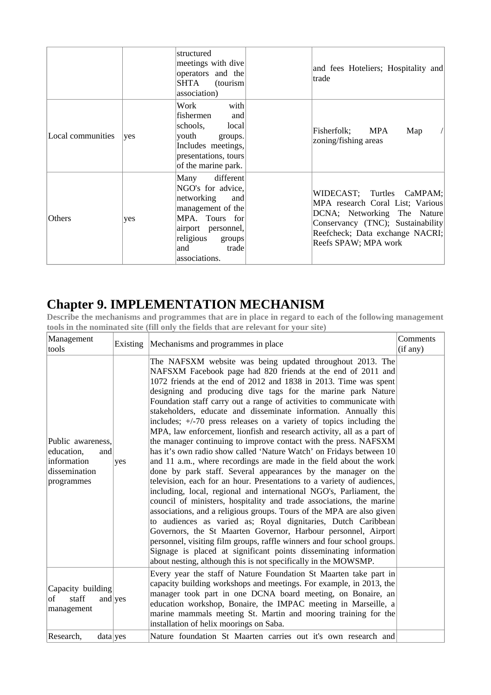|                   |     | structured<br>meetings with dive<br>operators and the<br>SHTA<br>(tourism<br>association)                                                                                        | and fees Hoteliers; Hospitality and<br>trade                                                                                                                                                 |
|-------------------|-----|----------------------------------------------------------------------------------------------------------------------------------------------------------------------------------|----------------------------------------------------------------------------------------------------------------------------------------------------------------------------------------------|
| Local communities | ves | Work<br>with<br>fishermen<br>and<br>local<br>schools,<br>vouth<br>groups.<br>Includes meetings,<br>presentations, tours<br>of the marine park.                                   | Fisherfolk; MPA<br>Map<br>zoning/fishing areas                                                                                                                                               |
| Others            | ves | different<br>Many<br>NGO's for advice,<br>networking<br>and<br>management of the<br>MPA. Tours for<br>airport personnel,<br>religious<br>groups<br>trade<br>and<br>associations. | WIDECAST; Turtles CaMPAM;<br>MPA research Coral List; Various<br>DCNA; Networking The Nature<br>Conservancy (TNC); Sustainability<br>Reefcheck; Data exchange NACRI;<br>Reefs SPAW; MPA work |

# **Chapter 9. IMPLEMENTATION MECHANISM**

**Describe the mechanisms and programmes that are in place in regard to each of the following management tools in the nominated site (fill only the fields that are relevant for your site)** 

| Management<br>tools                                                                  |     | Existing Mechanisms and programmes in place                                                                                                                                                                                                                                                                                                                                                                                                                                                                                                                                                                                                                                                                                                                                                                                                                                                                                                                                                                                                                                                                                                                                                                                                                                                                                                                                                                                                                                                         | Comments<br>(if any) |
|--------------------------------------------------------------------------------------|-----|-----------------------------------------------------------------------------------------------------------------------------------------------------------------------------------------------------------------------------------------------------------------------------------------------------------------------------------------------------------------------------------------------------------------------------------------------------------------------------------------------------------------------------------------------------------------------------------------------------------------------------------------------------------------------------------------------------------------------------------------------------------------------------------------------------------------------------------------------------------------------------------------------------------------------------------------------------------------------------------------------------------------------------------------------------------------------------------------------------------------------------------------------------------------------------------------------------------------------------------------------------------------------------------------------------------------------------------------------------------------------------------------------------------------------------------------------------------------------------------------------------|----------------------|
| Public awareness,<br>education,<br>and<br>information<br>dissemination<br>programmes | yes | The NAFSXM website was being updated throughout 2013. The<br>NAFSXM Facebook page had 820 friends at the end of 2011 and<br>1072 friends at the end of 2012 and 1838 in 2013. Time was spent<br>designing and producing dive tags for the marine park Nature<br>Foundation staff carry out a range of activities to communicate with<br>stakeholders, educate and disseminate information. Annually this<br>includes; +/-70 press releases on a variety of topics including the<br>MPA, law enforcement, lionfish and research activity, all as a part of<br>the manager continuing to improve contact with the press. NAFSXM<br>has it's own radio show called 'Nature Watch' on Fridays between 10<br>and 11 a.m., where recordings are made in the field about the work<br>done by park staff. Several appearances by the manager on the<br>television, each for an hour. Presentations to a variety of audiences,<br>including, local, regional and international NGO's, Parliament, the<br>council of ministers, hospitality and trade associations, the marine<br>associations, and a religious groups. Tours of the MPA are also given<br>to audiences as varied as; Royal dignitaries, Dutch Caribbean<br>Governors, the St Maarten Governor, Harbour personnel, Airport<br>personnel, visiting film groups, raffle winners and four school groups.<br>Signage is placed at significant points disseminating information<br>about nesting, although this is not specifically in the MOWSMP. |                      |
| Capacity building<br>staff<br>of<br>and $y$ es<br>management                         |     | Every year the staff of Nature Foundation St Maarten take part in<br>capacity building workshops and meetings. For example, in 2013, the<br>manager took part in one DCNA board meeting, on Bonaire, an<br>education workshop, Bonaire, the IMPAC meeting in Marseille, a<br>marine mammals meeting St. Martin and mooring training for the<br>installation of helix moorings on Saba.                                                                                                                                                                                                                                                                                                                                                                                                                                                                                                                                                                                                                                                                                                                                                                                                                                                                                                                                                                                                                                                                                                              |                      |
| Research,<br>$data$ yes                                                              |     | Nature foundation St Maarten carries out it's own research and                                                                                                                                                                                                                                                                                                                                                                                                                                                                                                                                                                                                                                                                                                                                                                                                                                                                                                                                                                                                                                                                                                                                                                                                                                                                                                                                                                                                                                      |                      |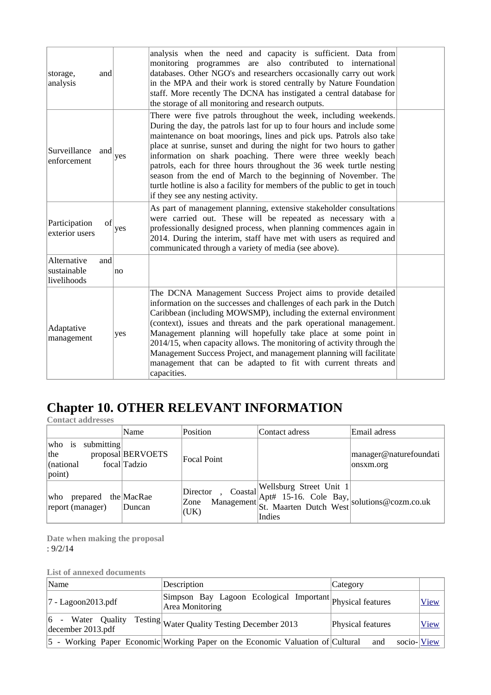| and<br>storage,<br>analysis                      |     | analysis when the need and capacity is sufficient. Data from<br>monitoring programmes are also contributed to international<br>databases. Other NGO's and researchers occasionally carry out work<br>in the MPA and their work is stored centrally by Nature Foundation<br>staff. More recently The DCNA has instigated a central database for<br>the storage of all monitoring and research outputs.                                                                                                                                                                                                                   |  |
|--------------------------------------------------|-----|-------------------------------------------------------------------------------------------------------------------------------------------------------------------------------------------------------------------------------------------------------------------------------------------------------------------------------------------------------------------------------------------------------------------------------------------------------------------------------------------------------------------------------------------------------------------------------------------------------------------------|--|
| Surveillance<br>and<br>enforcement               | yes | There were five patrols throughout the week, including weekends.<br>During the day, the patrols last for up to four hours and include some<br>maintenance on boat moorings, lines and pick ups. Patrols also take<br>place at sunrise, sunset and during the night for two hours to gather<br>information on shark poaching. There were three weekly beach<br>patrols, each for three hours throughout the 36 week turtle nesting<br>season from the end of March to the beginning of November. The<br>turtle hotline is also a facility for members of the public to get in touch<br>if they see any nesting activity. |  |
| Participation<br>of<br>exterior users            | yes | As part of management planning, extensive stakeholder consultations<br>were carried out. These will be repeated as necessary with a<br>professionally designed process, when planning commences again in<br>2014. During the interim, staff have met with users as required and<br>communicated through a variety of media (see above).                                                                                                                                                                                                                                                                                 |  |
| Alternative<br>and<br>sustainable<br>livelihoods | no  |                                                                                                                                                                                                                                                                                                                                                                                                                                                                                                                                                                                                                         |  |
| Adaptative<br>management                         | yes | The DCNA Management Success Project aims to provide detailed<br>information on the successes and challenges of each park in the Dutch<br>Caribbean (including MOWSMP), including the external environment<br>(context), issues and threats and the park operational management.<br>Management planning will hopefully take place at some point in<br>2014/15, when capacity allows. The monitoring of activity through the<br>Management Success Project, and management planning will facilitate<br>management that can be adapted to fit with current threats and<br>capacities.                                      |  |

## **Chapter 10. OTHER RELEVANT INFORMATION**

**Contact addresses** 

|                                                                      | Name                              | Position                 | Contact adress                                                                                                                   | Email adress                        |
|----------------------------------------------------------------------|-----------------------------------|--------------------------|----------------------------------------------------------------------------------------------------------------------------------|-------------------------------------|
| submitting<br> who is<br> the<br>$\vert$ (national<br>$\vert$ point) | proposal BERVOETS<br>focal Tadzio | Focal Point              |                                                                                                                                  | manager@naturefoundati<br>onsxm.org |
| prepared the MacRae<br> who<br>report (manager)                      | Duncan                            | Director<br>Zone<br>(UK) | or, Coastal Wellsburg Street Unit 1<br>Management Apt# 15-16. Cole Bay,<br>St. Maarten Dutch West solutions@cozm.co.uk<br>Indies |                                     |

**Date when making the proposal**  : 9/2/14

**List of annexed documents** 

| Name                          | Description                                                                    | Category          |                    |
|-------------------------------|--------------------------------------------------------------------------------|-------------------|--------------------|
| $ 7 - \text{Lagoon2013.pdf} $ | Simpson Bay Lagoon Ecological Important Physical features<br>Area Monitoring   |                   | <b>View</b>        |
| decenter 2013.pdf             | $\overline{6}$ - Water Quality Testing Water Quality Testing December 2013     | Physical features | <u>View</u>        |
|                               | 5 - Working Paper Economic Working Paper on the Economic Valuation of Cultural | and               | socio- <u>View</u> |